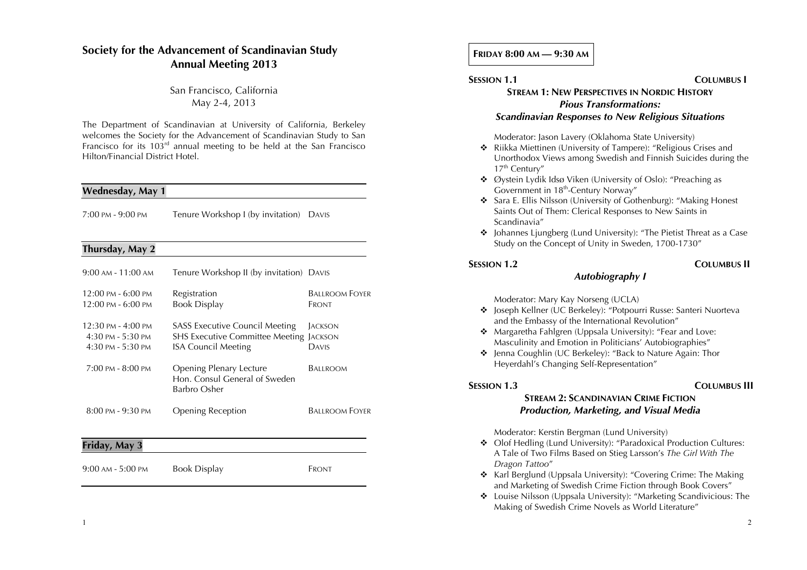# **Society for the Advancement of Scandinavian Study Annual Meeting 2013**

# San Francisco, California May 2-4, 2013

The Department of Scandinavian at University of California, Berkeley welcomes the Society for the Advancement of Scandinavian Study to San Francisco for its 103rd annual meeting to be held at the San Francisco Hilton/Financial District Hotel.

### **Wednesday, May 1**

| 7:00 PM - 9:00 PM | Tenure Workshop I (by invitation) DAVIS |  |  |
|-------------------|-----------------------------------------|--|--|
|-------------------|-----------------------------------------|--|--|

### **Thursday, May 2**

| $9:00$ AM - $11:00$ AM                                               | Tenure Workshop II (by invitation) DAVIS                                                                              |                                |  |
|----------------------------------------------------------------------|-----------------------------------------------------------------------------------------------------------------------|--------------------------------|--|
| $12:00 \text{ PM} - 6:00 \text{ PM}$<br>12:00 PM - 6:00 PM           | Registration<br><b>Book Display</b>                                                                                   | <b>BALLROOM FOYER</b><br>FRONT |  |
| 12:30 PM - 4:00 PM<br>$4:30$ PM - $5:30$ PM<br>$4:30$ PM - $5:30$ PM | <b>SASS Executive Council Meeting</b><br><b>SHS Executive Committee Meeting JACKSON</b><br><b>ISA Council Meeting</b> | <b>JACKSON</b><br>DAVIS        |  |
| $7:00$ PM - $8:00$ PM                                                | <b>Opening Plenary Lecture</b><br>Hon. Consul General of Sweden<br>Barbro Osher                                       | Ballroom                       |  |
| $8:00 \text{ PM} - 9:30 \text{ PM}$                                  | <b>Opening Reception</b>                                                                                              | <b>BALLROOM FOYER</b>          |  |
| Friday, May 3                                                        |                                                                                                                       |                                |  |
| $9:00$ AM - $5:00$ PM                                                | <b>Book Display</b>                                                                                                   | Front                          |  |

### **FRIDAY 8:00 AM — 9:30 AM**

# **SESSION 1.1 COLUMBUS I STREAM 1: NEW PERSPECTIVES IN NORDIC HISTORY** *Pious Transformations: Scandinavian Responses to New Religious Situations*

### Moderator: Jason Lavery (Oklahoma State University)

- ! Riikka Miettinen (University of Tampere): "Religious Crises and Unorthodox Views among Swedish and Finnish Suicides during the 17<sup>th</sup> Century"
- ! Øystein Lydik Idsø Viken (University of Oslo): "Preaching as Government in 18<sup>th</sup>-Century Norway"
- ! Sara E. Ellis Nilsson (University of Gothenburg): "Making Honest Saints Out of Them: Clerical Responses to New Saints in Scandinavia"
- $\triangleq$  Johannes Ljungberg (Lund University): "The Pietist Threat as a Case Study on the Concept of Unity in Sweden, 1700-1730"

# **SESSION 1.2 COLUMBUS II**

### Moderator: Mary Kay Norseng (UCLA)

! Joseph Kellner (UC Berkeley): "Potpourri Russe: Santeri Nuorteva and the Embassy of the International Revolution"

*Autobiography I*

- \* Margaretha Fahlgren (Uppsala University): "Fear and Love: Masculinity and Emotion in Politicians' Autobiographies"
- ! Jenna Coughlin (UC Berkeley): "Back to Nature Again: Thor Heyerdahl's Changing Self-Representation"

### **SESSION 1.3 COLUMBUS III**

# **STREAM 2: SCANDINAVIAN CRIME FICTION** *Production, Marketing, and Visual Media*

Moderator: Kerstin Bergman (Lund University)

- ! Olof Hedling (Lund University): "Paradoxical Production Cultures: A Tale of Two Films Based on Stieg Larsson's *The Girl With The Dragon Tattoo*"
- ! Karl Berglund (Uppsala University): "Covering Crime: The Making and Marketing of Swedish Crime Fiction through Book Covers"
- ! Louise Nilsson (Uppsala University): "Marketing Scandivicious: The Making of Swedish Crime Novels as World Literature"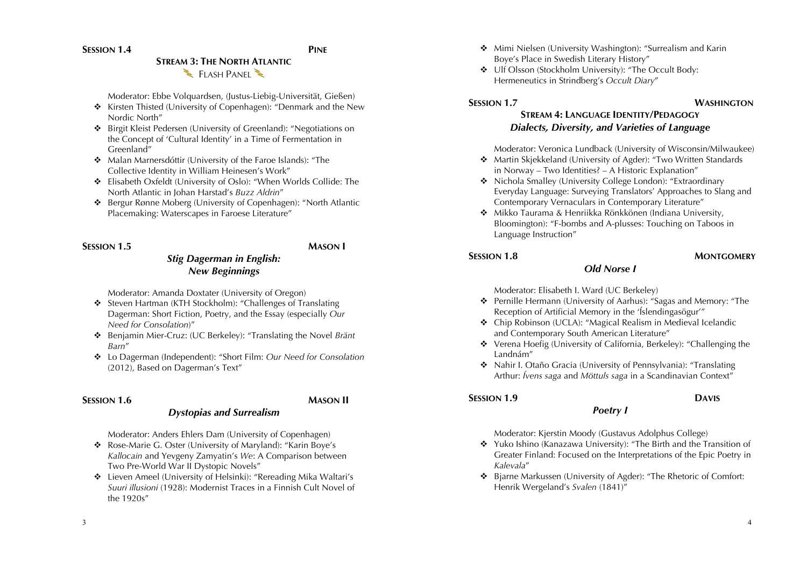**SESSION 1.4 PINE** 

# **STREAM 3: THE NORTH ATLANTIC** FLASH PANEL

Moderator: Ebbe Volquardsen, (Justus-Liebig-Universität, Gießen)

- **\*** Kirsten Thisted (University of Copenhagen): "Denmark and the New Nordic North"
- ! Birgit Kleist Pedersen (University of Greenland): "Negotiations on the Concept of 'Cultural Identity' in a Time of Fermentation in Greenland"
- \* Malan Marnersdóttir (University of the Faroe Islands): "The Collective Identity in William Heinesen's Work"
- ! Elisabeth Oxfeldt (University of Oslo): "When Worlds Collide: The North Atlantic in Johan Harstad's *Buzz Aldrin*"
- ! Bergur Rønne Moberg (University of Copenhagen): "North Atlantic Placemaking: Waterscapes in Faroese Literature"

# **SESSION 1.5 MASON I**

# *Stig Dagerman in English: New Beginnings*

Moderator: Amanda Doxtater (University of Oregon)

- ! Steven Hartman (KTH Stockholm): "Challenges of Translating Dagerman: Short Fiction, Poetry, and the Essay (especially *Our Need for Consolation*)"
- ! Benjamin Mier-Cruz: (UC Berkeley): "Translating the Novel *Bränt Barn*"
- ! Lo Dagerman (Independent): "Short Film: *Our Need for Consolation*  (2012), Based on Dagerman's Text"

# **SESSION 1.6 MASON II**

# *Dystopias and Surrealism*

Moderator: Anders Ehlers Dam (University of Copenhagen)

- ! Rose-Marie G. Oster (University of Maryland): "Karin Boye's *Kallocain* and Yevgeny Zamyatin's *We*: A Comparison between Two Pre-World War II Dystopic Novels"
- ! Lieven Ameel (University of Helsinki): "Rereading Mika Waltari's *Suuri illusioni* (1928): Modernist Traces in a Finnish Cult Novel of the 1920s"
- ! Mimi Nielsen (University Washington): "Surrealism and Karin Boye's Place in Swedish Literary History"
- $\cdot$  Ulf Olsson (Stockholm University): "The Occult Body: Hermeneutics in Strindberg's *Occult Diary*"

# **SESSION 1.7 WASHINGTON**

# **STREAM 4: LANGUAGE IDENTITY/PEDAGOGY** *Dialects, Diversity, and Varieties of Language*

Moderator: Veronica Lundback (University of Wisconsin/Milwaukee)

- ! Martin Skjekkeland (University of Agder): "Two Written Standards in Norway – Two Identities? – A Historic Explanation"
- ! Nichola Smalley (University College London): "Extraordinary Everyday Language: Surveying Translators' Approaches to Slang and Contemporary Vernaculars in Contemporary Literature"
- ! Mikko Taurama & Henriikka Rönkkönen (Indiana University, Bloomington): "F-bombs and A-plusses: Touching on Taboos in Language Instruction"

*Old Norse I*

### **SESSION 1.8 MONTGOMERY**

Moderator: Elisabeth I. Ward (UC Berkeley)

- ! Pernille Hermann (University of Aarhus): "Sagas and Memory: "The Reception of Artificial Memory in the 'Íslendingasögur'"
- ! Chip Robinson (UCLA): "Magical Realism in Medieval Icelandic and Contemporary South American Literature"
- \* Verena Hoefig (University of California, Berkeley): "Challenging the Landnám"
- ! Nahir I. Otaño Gracia (University of Pennsylvania): "Translating Arthur: *Ívens saga* and *Möttuls saga* in a Scandinavian Context"

# **SESSION 1.9 DAVIS**

# *Poetry I*

Moderator: Kjerstin Moody (Gustavus Adolphus College)

- \* Yuko Ishino (Kanazawa University): "The Birth and the Transition of Greater Finland: Focused on the Interpretations of the Epic Poetry in *Kalevala*"
- ! Bjarne Markussen (University of Agder): "The Rhetoric of Comfort: Henrik Wergeland's *Svalen* (1841)"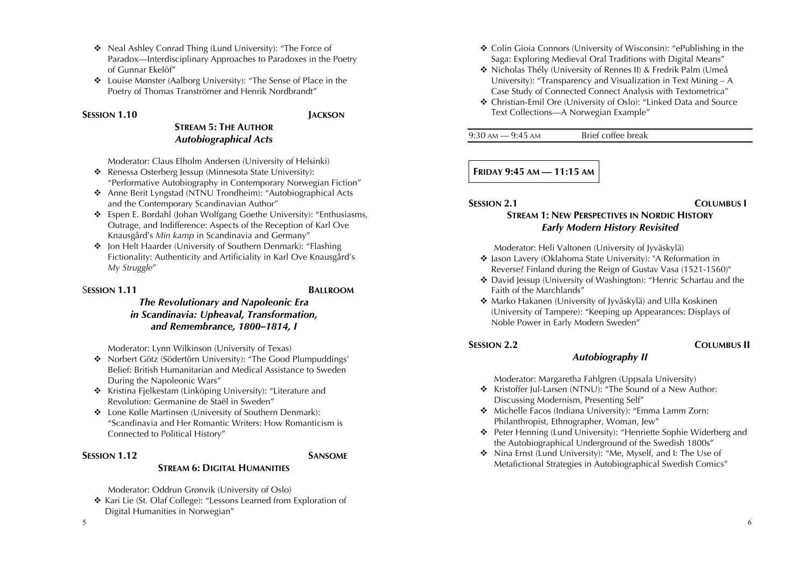- ! Neal Ashley Conrad Thing (Lund University): "The Force of Paradox—Interdisciplinary Approaches to Paradoxes in the Poetry of Gunnar Ekelöf"
- ! Louise Mønster (Aalborg University): "The Sense of Place in the Poetry of Thomas Tranströmer and Henrik Nordbrandt"

### **SESSION 1.10 JACKSON**

# **STREAM 5: THE AUTHOR** *Autobiographical Acts*

Moderator: Claus Elholm Andersen (University of Helsinki)

- \* Renessa Osterberg Jessup (Minnesota State University): "Performative Autobiography in Contemporary Norwegian Fiction"
- ! Anne Berit Lyngstad (NTNU Trondheim): "Autobiographical Acts and the Contemporary Scandinavian Author"
- \* Espen E. Børdahl (Johan Wolfgang Goethe University): "Enthusiasms, Outrage, and Indifference: Aspects of the Reception of Karl Ove Knausgård's *Min kamp* in Scandinavia and Germany"
- ! Jon Helt Haarder (University of Southern Denmark): "Flashing Fictionality: Authenticity and Artificiality in Karl Ove Knausgård's *My Struggle*"

### S**ESSION 1.11 BALLROOM**

# *The Revolutionary and Napoleonic Era in Scandinavia: Upheaval, Transformation, and Remembrance, 1800–1814, I*

Moderator: Lynn Wilkinson (University of Texas)

- ! Norbert Götz (Södertörn University): "The Good Plumpuddings' Belief: British Humanitarian and Medical Assistance to Sweden During the Napoleonic Wars"
- **\*** Kristina Fjelkestam (Linköping University): "Literature and Revolution: Germanine de Staël in Sweden"
- **\*** Lone Kølle Martinsen (University of Southern Denmark): "Scandinavia and Her Romantic Writers: How Romanticism is Connected to Political History"

### **SESSION 1.12 SANSOME**

# **STREAM 6: DIGITAL HUMANITIES**

Moderator: Oddrun Grønvik (University of Oslo)

◆ Kari Lie (St. Olaf College): "Lessons Learned from Exploration of Digital Humanities in Norwegian"

- ! Colin Gioia Connors (University of Wisconsin): "ePublishing in the Saga: Exploring Medieval Oral Traditions with Digital Means"
- ! Nicholas Thély (University of Rennes II) & Fredrik Palm (Umeå University): "Transparency and Visualization in Text Mining – A Case Study of Connected Connect Analysis with Textometrica"
- ! Christian-Emil Ore (University of Oslo): "Linked Data and Source Text Collections—A Norwegian Example"

9:30 AM  $-$  9:45 AM Brief coffee break

# **FRIDAY 9:45 AM — 11:15 AM**

### **SESSION 2.1 COLUMBUS I**

# **STREAM 1: NEW PERSPECTIVES IN NORDIC HISTORY** *Early Modern History Revisited*

Moderator: Heli Valtonen (University of Jyväskylä)

- ! Jason Lavery (Oklahoma State University): "A Reformation in Reverse? Finland during the Reign of Gustav Vasa (1521-1560)"
- ! David Jessup (University of Washington): "Henric Schartau and the Faith of the Marchlands"
- ◆ Marko Hakanen (University of Jyväskylä) and Ulla Koskinen (University of Tampere): "Keeping up Appearances: Displays of Noble Power in Early Modern Sweden"

### **SESSION 2.2 COLUMBUS II**

# *Autobiography II*

Moderator: Margaretha Fahlgren (Uppsala University)

- ! Kristoffer Jul-Larsen (NTNU): "The Sound of a New Author: Discussing Modernism, Presenting Self"
- \* Michelle Facos (Indiana University): "Emma Lamm Zorn: Philanthropist, Ethnographer, Woman, Jew"
- ! Peter Henning (Lund University): "Henriette Sophie Widerberg and the Autobiographical Underground of the Swedish 1800s"
- ! Nina Ernst (Lund University): "Me, Myself, and I: The Use of Metafictional Strategies in Autobiographical Swedish Comics"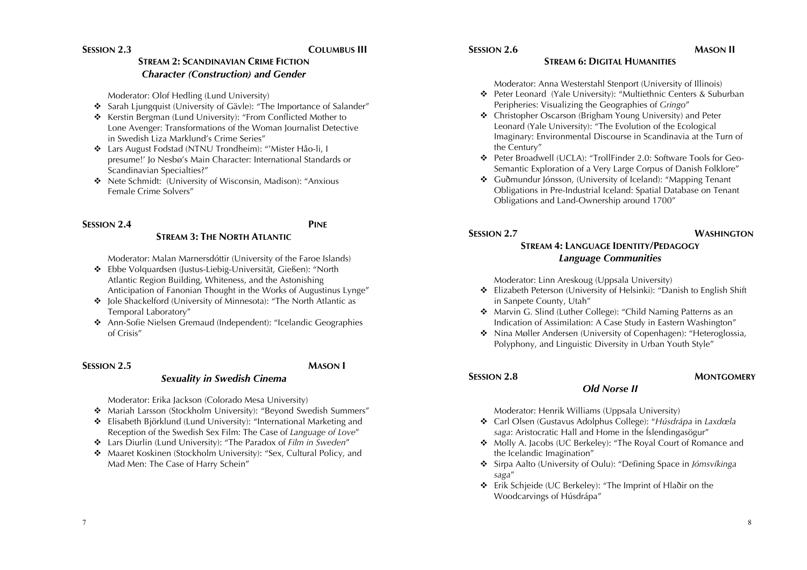# **SESSION 2.3 COLUMBUS III**

# **SESSION 2.6 MASON II**

### **STREAM 6: DIGITAL HUMANITIES**

Moderator: Anna Westerstahl Stenport (University of Illinois)

- ! Peter Leonard (Yale University): "Multiethnic Centers & Suburban Peripheries: Visualizing the Geographies of *Gringo*"
- ! Christopher Oscarson (Brigham Young University) and Peter Leonard (Yale University): "The Evolution of the Ecological Imaginary: Environmental Discourse in Scandinavia at the Turn of the Century"
- ! Peter Broadwell (UCLA): "TrollFinder 2.0: Software Tools for Geo-Semantic Exploration of a Very Large Corpus of Danish Folklore"
- ! Guðmundur Jónsson, (University of Iceland): "Mapping Tenant Obligations in Pre-Industrial Iceland: Spatial Database on Tenant Obligations and Land-Ownership around 1700"

### **SESSION 2.7 WASHINGTON**

# **STREAM 4: LANGUAGE IDENTITY/PEDAGOGY** *Language Communities*

Moderator: Linn Areskoug (Uppsala University)

- ! Elizabeth Peterson (University of Helsinki): "Danish to English Shift in Sanpete County, Utah"
- ! Marvin G. Slind (Luther College): "Child Naming Patterns as an Indication of Assimilation: A Case Study in Eastern Washington"
- ! Nina Møller Andersen (University of Copenhagen): "Heteroglossia, Polyphony, and Linguistic Diversity in Urban Youth Style"

### **SESSION 2.8 MONTGOMERY**

Moderator: Henrik Williams (Uppsala University)

! Carl Olsen (Gustavus Adolphus College): "*Húsdrápa* in *Laxdœla saga*: Aristocratic Hall and Home in the Íslendingasögur"

*Old Norse II*

- Molly A. Jacobs (UC Berkeley): "The Royal Court of Romance and the Icelandic Imagination"
- ! Sirpa Aalto (University of Oulu): "Defining Space in *Jómsvíkinga saga*"
- ! Erik Schjeide (UC Berkeley): "The Imprint of Hlaðir on the Woodcarvings of Húsdrápa"

# **STREAM 2: SCANDINAVIAN CRIME FICTION** *Character (Construction) and Gender*

Moderator: Olof Hedling (Lund University)

- \* Sarah Ljungquist (University of Gävle): "The Importance of Salander"
- \* Kerstin Bergman (Lund University): "From Conflicted Mother to Lone Avenger: Transformations of the Woman Journalist Detective in Swedish Liza Marklund's Crime Series"
- ! Lars August Fodstad (NTNU Trondheim): "'Mister Håo-li, I presume!' Jo Nesbø's Main Character: International Standards or Scandinavian Specialties?"
- ! Nete Schmidt: (University of Wisconsin, Madison): "Anxious Female Crime Solvers"

### **SESSION 2.4 PINE STREAM 3: THE NORTH ATLANTIC**

Moderator: Malan Marnersdóttir (University of the Faroe Islands)

- ! Ebbe Volquardsen (Justus-Liebig-Universität, Gießen): "North Atlantic Region Building, Whiteness, and the Astonishing Anticipation of Fanonian Thought in the Works of Augustinus Lynge"
- ! Jole Shackelford (University of Minnesota): "The North Atlantic as Temporal Laboratory"
- ! Ann-Sofie Nielsen Gremaud (Independent): "Icelandic Geographies of Crisis"

# **SESSION 2.5 MASON I**

# *Sexuality in Swedish Cinema*

Moderator: Erika Jackson (Colorado Mesa University)

- ! Mariah Larsson (Stockholm University): "Beyond Swedish Summers"
- ! Elisabeth Björklund (Lund University): "International Marketing and Reception of the Swedish Sex Film: The Case of *Language of Love*"
- ! Lars Diurlin (Lund University): "The Paradox of *Film in Sweden*"
- **\*** Maaret Koskinen (Stockholm University): "Sex, Cultural Policy, and Mad Men: The Case of Harry Schein"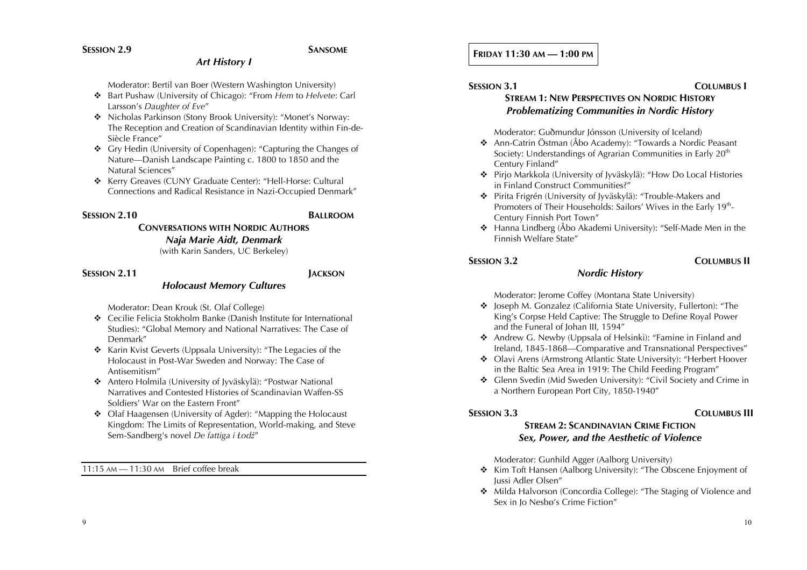# *Art History I*

Moderator: Bertil van Boer (Western Washington University)

- ! Bart Pushaw (University of Chicago): "From *Hem* to *Helvete*: Carl Larsson's *Daughter of Eve*"
- ! Nicholas Parkinson (Stony Brook University): "Monet's Norway: The Reception and Creation of Scandinavian Identity within Fin-de-Siècle France"
- ! Gry Hedin (University of Copenhagen): "Capturing the Changes of Nature—Danish Landscape Painting c. 1800 to 1850 and the Natural Sciences"
- **\*** Kerry Greaves (CUNY Graduate Center): "Hell-Horse: Cultural Connections and Radical Resistance in Nazi-Occupied Denmark"

# **SESSION 2.10 BALLROOM**

# **CONVERSATIONS WITH NORDIC AUTHORS** *Naja Marie Aidt, Denmark*

(with Karin Sanders, UC Berkeley)

# **SESSION 2.11 JACKSON**

# *Holocaust Memory Cultures*

Moderator: Dean Krouk (St. Olaf College)

- **\*** Cecilie Felicia Stokholm Banke (Danish Institute for International Studies): "Global Memory and National Narratives: The Case of Denmark"
- $\triangle$  Karin Kvist Geverts (Uppsala University): "The Legacies of the Holocaust in Post-War Sweden and Norway: The Case of Antisemitism"
- ! Antero Holmila (University of Jyväskylä): "Postwar National Narratives and Contested Histories of Scandinavian Waffen-SS Soldiers' War on the Eastern Front"
- Olaf Haagensen (University of Agder): "Mapping the Holocaust Kingdom: The Limits of Representation, World-making, and Steve Sem-Sandberg's novel *De fattiga i Łodź*"

11:15 AM — 11:30 AM Brief coffee break

# **FRIDAY 11:30 AM — 1:00 PM**

### **SESSION 3.1 COLUMBUS I STREAM 1: NEW PERSPECTIVES ON NORDIC HISTORY**

# *Problematizing Communities in Nordic History*

Moderator: Guðmundur Jónsson (University of Iceland)

- ! Ann-Catrin Östman (Åbo Academy): "Towards a Nordic Peasant Society: Understandings of Agrarian Communities in Early 20<sup>th</sup> Century Finland"
- ! Pirjo Markkola (University of Jyväskylä): "How Do Local Histories in Finland Construct Communities?"
- ! Pirita Frigrén (University of Jyväskylä): "Trouble-Makers and Promoters of Their Households: Sailors' Wives in the Early 19<sup>th</sup>-Century Finnish Port Town"
- **\*** Hanna Lindberg (Åbo Akademi University): "Self-Made Men in the Finnish Welfare State"

# **SESSION 3.2 COLUMBUS II**

# Moderator: Jerome Coffey (Montana State University)

! Joseph M. Gonzalez (California State University, Fullerton): "The King's Corpse Held Captive: The Struggle to Define Royal Power and the Funeral of Johan III, 1594"

*Nordic History*

- \* Andrew G. Newby (Uppsala of Helsinki): "Famine in Finland and Ireland, 1845-1868—Comparative and Transnational Perspectives"
- ! Olavi Arens (Armstrong Atlantic State University): "Herbert Hoover in the Baltic Sea Area in 1919: The Child Feeding Program"
- ! Glenn Svedin (Mid Sweden University): "Civil Society and Crime in a Northern European Port City, 1850-1940"

### **SESSION 3.3 COLUMBUS III**

# **STREAM 2: SCANDINAVIAN CRIME FICTION** *Sex, Power, and the Aesthetic of Violence*

Moderator: Gunhild Agger (Aalborg University)

- \* Kim Toft Hansen (Aalborg University): "The Obscene Enjoyment of Jussi Adler Olsen"
- \* Milda Halvorson (Concordia College): "The Staging of Violence and Sex in Jo Nesbø's Crime Fiction"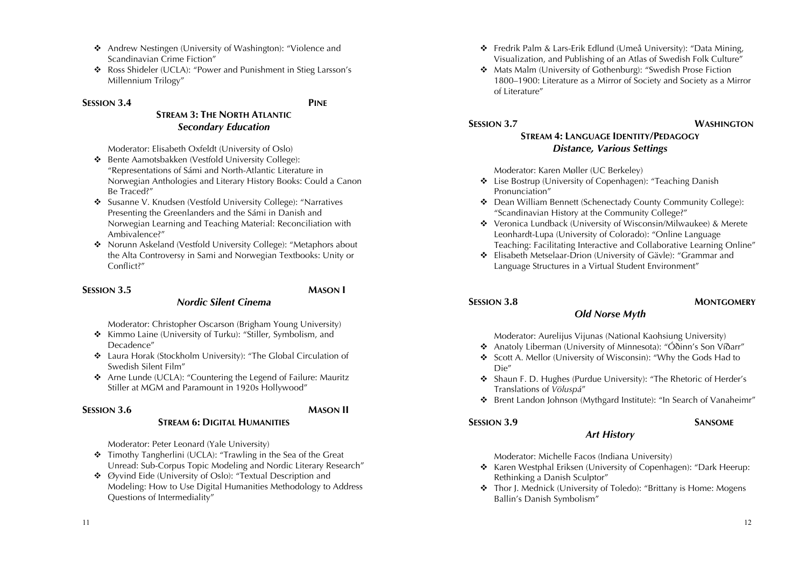- ! Andrew Nestingen (University of Washington): "Violence and Scandinavian Crime Fiction"
- \* Ross Shideler (UCLA): "Power and Punishment in Stieg Larsson's Millennium Trilogy"

### **SESSION 3.4 PINE**

# **STREAM 3: THE NORTH ATLANTIC** *Secondary Education*

Moderator: Elisabeth Oxfeldt (University of Oslo)

- \* Bente Aamotsbakken (Vestfold University College): "Representations of Sámi and North-Atlantic Literature in Norwegian Anthologies and Literary History Books: Could a Canon Be Traced?"
- ! Susanne V. Knudsen (Vestfold University College): "Narratives Presenting the Greenlanders and the Sámi in Danish and Norwegian Learning and Teaching Material: Reconciliation with Ambivalence?"
- ◆ Norunn Askeland (Vestfold University College): "Metaphors about the Alta Controversy in Sami and Norwegian Textbooks: Unity or Conflict?"

# **SESSION 3.5 MASON I**

Moderator: Christopher Oscarson (Brigham Young University)

*Nordic Silent Cinema*

- **\*** Kimmo Laine (University of Turku): "Stiller, Symbolism, and Decadence"
- ! Laura Horak (Stockholm University): "The Global Circulation of Swedish Silent Film"
- ! Arne Lunde (UCLA): "Countering the Legend of Failure: Mauritz Stiller at MGM and Paramount in 1920s Hollywood"

**STREAM 6: DIGITAL HUMANITIES**

### **SESSION 3.6 MASON II**

Moderator: Peter Leonard (Yale University)

- **\*** Timothy Tangherlini (UCLA): "Trawling in the Sea of the Great Unread: Sub-Corpus Topic Modeling and Nordic Literary Research"
- ! Øyvind Eide (University of Oslo): "Textual Description and Modeling: How to Use Digital Humanities Methodology to Address Questions of Intermediality"
- ! Fredrik Palm & Lars-Erik Edlund (Umeå University): "Data Mining, Visualization, and Publishing of an Atlas of Swedish Folk Culture"
- ! Mats Malm (University of Gothenburg): "Swedish Prose Fiction 1800–1900: Literature as a Mirror of Society and Society as a Mirror of Literature"

### **SESSION 3.7 WASHINGTON**

# **STREAM 4: LANGUAGE IDENTITY/PEDAGOGY** *Distance, Various Settings*

Moderator: Karen Møller (UC Berkeley)

- ! Lise Bostrup (University of Copenhagen): "Teaching Danish Pronunciation"
- ! Dean William Bennett (Schenectady County Community College): "Scandinavian History at the Community College?"
- ! Veronica Lundback (University of Wisconsin/Milwaukee) & Merete Leonhardt-Lupa (University of Colorado): "Online Language Teaching: Facilitating Interactive and Collaborative Learning Online"
- ! Elisabeth Metselaar-Drion (University of Gävle): "Grammar and Language Structures in a Virtual Student Environment"

# **SESSION 3.8 MONTGOMERY**

# *Old Norse Myth*

Moderator: Aurelijus Vijunas (National Kaohsiung University)

- ! Anatoly Liberman (University of Minnesota): "Óðinn's Son Víðarr"
- ! Scott A. Mellor (University of Wisconsin): "Why the Gods Had to Die"
- ! Shaun F. D. Hughes (Purdue University): "The Rhetoric of Herder's Translations of *Völuspá*"
- \* Brent Landon Johnson (Mythgard Institute): "In Search of Vanaheimr"

# **SESSION 3.9 SANSOME**

# *Art History*

Moderator: Michelle Facos (Indiana University)

- ! Karen Westphal Eriksen (University of Copenhagen): "Dark Heerup: Rethinking a Danish Sculptor"
- ! Thor J. Mednick (University of Toledo): "Brittany is Home: Mogens Ballin's Danish Symbolism"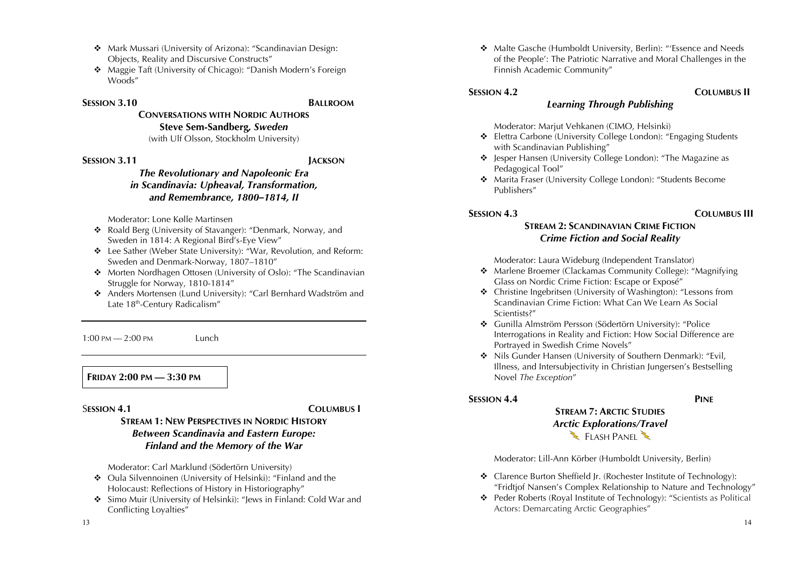- \* Mark Mussari (University of Arizona): "Scandinavian Design: Objects, Reality and Discursive Constructs"
- **\*** Maggie Taft (University of Chicago): "Danish Modern's Foreign Woods"

### **SESSION 3.10 BALLROOM**

**CONVERSATIONS WITH NORDIC AUTHORS Steve Sem-Sandberg***, Sweden*

(with Ulf Olsson, Stockholm University)

### **SESSION 3.11 JACKSON**

# *The Revolutionary and Napoleonic Era in Scandinavia: Upheaval, Transformation, and Remembrance, 1800–1814, II*

Moderator: Lone Kølle Martinsen

- ! Roald Berg (University of Stavanger): "Denmark, Norway, and Sweden in 1814: A Regional Bird's-Eye View"
- \* Lee Sather (Weber State University): "War, Revolution, and Reform: Sweden and Denmark-Norway, 1807–1810"
- ◆ Morten Nordhagen Ottosen (University of Oslo): "The Scandinavian Struggle for Norway, 1810-1814"
- \* Anders Mortensen (Lund University): "Carl Bernhard Wadström and Late 18<sup>th</sup>-Century Radicalism"

1:00 PM — 2:00 PM Lunch

**FRIDAY 2:00 PM — 3:30 PM**

### S**ESSION 4.1 COLUMBUS I**

# **STREAM 1: NEW PERSPECTIVES IN NORDIC HISTORY** *Between Scandinavia and Eastern Europe: Finland and the Memory of the War*

Moderator: Carl Marklund (Södertörn University)

- ◆ Oula Silvennoinen (University of Helsinki): "Finland and the Holocaust: Reflections of History in Historiography"
- ! Simo Muir (University of Helsinki): "Jews in Finland: Cold War and Conflicting Loyalties"
	-

13

! Malte Gasche (Humboldt University, Berlin): "'Essence and Needs of the People': The Patriotic Narrative and Moral Challenges in the Finnish Academic Community"

# **SESSION 4.2 COLUMBUS II**

Moderator: Marjut Vehkanen (CIMO, Helsinki)

! Elettra Carbone (University College London): "Engaging Students with Scandinavian Publishing"

*Learning Through Publishing*

- ! Jesper Hansen (University College London): "The Magazine as Pedagogical Tool"
- ! Marita Fraser (University College London): "Students Become Publishers"

# **SESSION 4.3 COLUMBUS III**

# **STREAM 2: SCANDINAVIAN CRIME FICTION** *Crime Fiction and Social Reality*

Moderator: Laura Wideburg (Independent Translator)

- ! Marlene Broemer (Clackamas Community College): "Magnifying Glass on Nordic Crime Fiction: Escape or Exposé"
- ! Christine Ingebritsen (University of Washington): "Lessons from Scandinavian Crime Fiction: What Can We Learn As Social Scientists?"
- ! Gunilla Almström Persson (Södertörn University): "Police Interrogations in Reality and Fiction: How Social Difference are Portrayed in Swedish Crime Novels"
- ! Nils Gunder Hansen (University of Southern Denmark): "Evil, Illness, and Intersubjectivity in Christian Jungersen's Bestselling Novel *The Exception*"

# **SESSION 4.4 PINE**

# **STREAM 7: ARCTIC STUDIES** *Arctic Explorations/Travel*  $\sum$  FLASH PANEL

Moderator: Lill-Ann Körber (Humboldt University, Berlin)

- $\triangle$  Clarence Burton Sheffield Jr. (Rochester Institute of Technology): "Fridtjof Nansen's Complex Relationship to Nature and Technology"
- \* Peder Roberts (Royal Institute of Technology): "Scientists as Political Actors: Demarcating Arctic Geographies"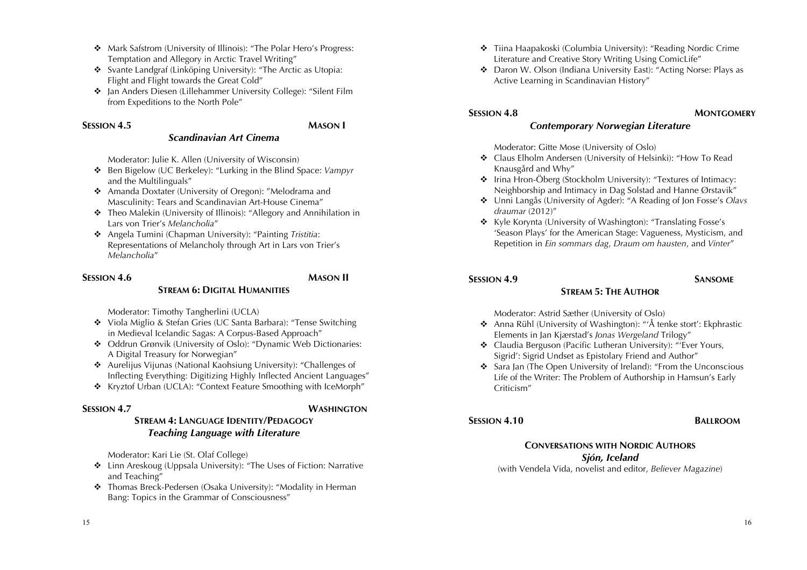- \* Mark Safstrom (University of Illinois): "The Polar Hero's Progress: Temptation and Allegory in Arctic Travel Writing"
- **\*** Svante Landgraf (Linköping University): "The Arctic as Utopia: Flight and Flight towards the Great Cold"
- **→** Jan Anders Diesen (Lillehammer University College): "Silent Film from Expeditions to the North Pole"

### **SESSION 4.5 MASON I**

### *Scandinavian Art Cinema*

Moderator: Julie K. Allen (University of Wisconsin)

- ! Ben Bigelow (UC Berkeley): "Lurking in the Blind Space: *Vampyr* and the Multilinguals"
- ! Amanda Doxtater (University of Oregon): "Melodrama and Masculinity: Tears and Scandinavian Art-House Cinema"
- Theo Malekin (University of Illinois): "Allegory and Annihilation in Lars von Trier's *Melancholia*"
- ! Angela Tumini (Chapman University): "Painting *Tristitia*: Representations of Melancholy through Art in Lars von Trier's *Melancholia*"

# **SESSION 4.6 MASON II**

# **STREAM 6: DIGITAL HUMANITIES**

Moderator: Timothy Tangherlini (UCLA)

- ! Viola Miglio & Stefan Gries (UC Santa Barbara): "Tense Switching in Medieval Icelandic Sagas: A Corpus-Based Approach"
- ! Oddrun Grønvik (University of Oslo): "Dynamic Web Dictionaries: A Digital Treasury for Norwegian"
- ◆ Aurelijus Vijunas (National Kaohsiung University): "Challenges of Inflecting Everything: Digitizing Highly Inflected Ancient Languages"
- \* Kryztof Urban (UCLA): "Context Feature Smoothing with IceMorph"

**SESSION 4.7 WASHINGTON**

# **STREAM 4: LANGUAGE IDENTITY/PEDAGOGY** *Teaching Language with Literature*

Moderator: Kari Lie (St. Olaf College)

- ! Linn Areskoug (Uppsala University): "The Uses of Fiction: Narrative and Teaching"
- \* Thomas Breck-Pedersen (Osaka University): "Modality in Herman Bang: Topics in the Grammar of Consciousness"
- **\*** Tiina Haapakoski (Columbia University): "Reading Nordic Crime Literature and Creative Story Writing Using ComicLife"
- ! Daron W. Olson (Indiana University East): "Acting Norse: Plays as Active Learning in Scandinavian History"

# **SESSION 4.8 MONTGOMERY**

# *Contemporary Norwegian Literature*

Moderator: Gitte Mose (University of Oslo)

- ! Claus Elholm Andersen (University of Helsinki): "How To Read Knausgård and Why"
- ! Irina Hron-Öberg (Stockholm University): "Textures of Intimacy: Neighborship and Intimacy in Dag Solstad and Hanne Ørstavik"
- ! Unni Langås (University of Agder): "A Reading of Jon Fosse's *Olavs draumar* (2012)"
- ! Kyle Korynta (University of Washington): "Translating Fosse's 'Season Plays' for the American Stage: Vagueness, Mysticism, and Repetition in *Ein sommars dag*, *Draum om hausten*, and *Vinter*"

# **SESSION 4.9 SANSOME**

# **STREAM 5: THE AUTHOR**

Moderator: Astrid Sæther (University of Oslo)

- ! Anna Rühl (University of Washington): "'Å tenke stort': Ekphrastic Elements in Jan Kjærstad's *Jonas Wergeland* Trilogy"
- \* Claudia Berguson (Pacific Lutheran University): "'Ever Yours, Sigrid': Sigrid Undset as Epistolary Friend and Author"
- ! Sara Jan (The Open University of Ireland): "From the Unconscious Life of the Writer: The Problem of Authorship in Hamsun's Early Criticism"

# **SESSION 4.10 BALLROOM**

# **CONVERSATIONS WITH NORDIC AUTHORS** *Sjón, Iceland*

(with Vendela Vida, novelist and editor, *Believer Magazine*)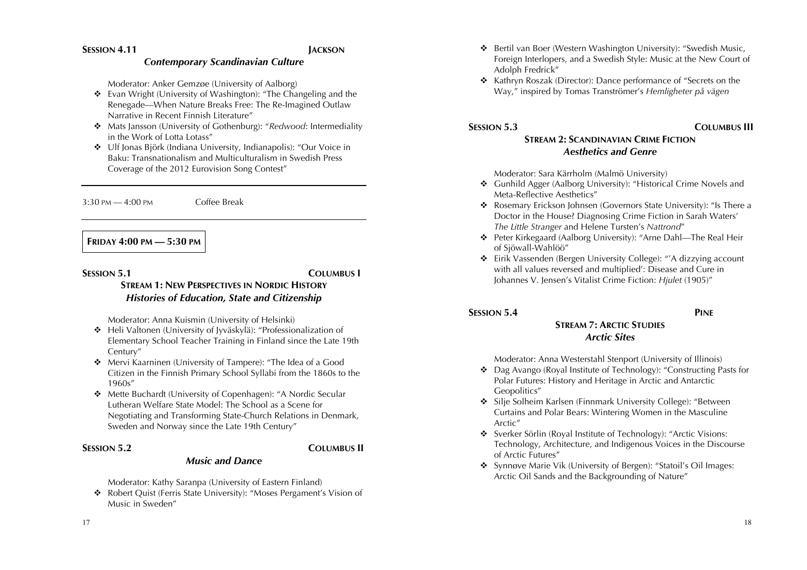### *Contemporary Scandinavian Culture*

Moderator: Anker Gemzøe (University of Aalborg)

- ! Evan Wright (University of Washington): "The Changeling and the Renegade—When Nature Breaks Free: The Re-Imagined Outlaw Narrative in Recent Finnish Literature"
- ! Mats Jansson (University of Gothenburg): "*Redwood*: Intermediality in the Work of Lotta Lotass"
- ! Ulf Jonas Björk (Indiana University, Indianapolis): "Our Voice in Baku: Transnationalism and Multiculturalism in Swedish Press Coverage of the 2012 Eurovision Song Contest"

3:30 PM — 4:00 PM Coffee Break

# **FRIDAY 4:00 PM — 5:30 PM**

**SESSION 5.1 COLUMBUS I**

# **STREAM 1: NEW PERSPECTIVES IN NORDIC HISTORY** *Histories of Education, State and Citizenship*

Moderator: Anna Kuismin (University of Helsinki)

- ! Heli Valtonen (University of Jyväskylä): "Professionalization of Elementary School Teacher Training in Finland since the Late 19th Century"
- ! Mervi Kaarninen (University of Tampere): "The Idea of a Good Citizen in the Finnish Primary School Syllabi from the 1860s to the 1960s"
- ! Mette Buchardt (University of Copenhagen): "A Nordic Secular Lutheran Welfare State Model: The School as a Scene for Negotiating and Transforming State-Church Relations in Denmark, Sweden and Norway since the Late 19th Century"

# **SESSION 5.2 COLUMBUS II**

# *Music and Dance*

Moderator: Kathy Saranpa (University of Eastern Finland)

\* Robert Quist (Ferris State University): "Moses Pergament's Vision of Music in Sweden"

- ! Bertil van Boer (Western Washington University): "Swedish Music, Foreign Interlopers, and a Swedish Style: Music at the New Court of Adolph Fredrick"
- ! Kathryn Roszak (Director): Dance performance of "Secrets on the Way," inspired by Tomas Tranströmer's *Hemligheter på vägen*

# **SESSION 5.3 COLUMBUS III**

# **STREAM 2: SCANDINAVIAN CRIME FICTION** *Aesthetics and Genre*

Moderator: Sara Kärrholm (Malmö University)

- ! Gunhild Agger (Aalborg University): "Historical Crime Novels and Meta-Reflective Aesthetics"
- \* Rosemary Erickson Johnsen (Governors State University): "Is There a Doctor in the House? Diagnosing Crime Fiction in Sarah Waters' *The Little Stranger* and Helene Tursten's *Nattrond*"
- ! Peter Kirkegaard (Aalborg University): "Arne Dahl—The Real Heir of Sjöwall-Wahlöö"
- ! Eirik Vassenden (Bergen University College): "'A dizzying account with all values reversed and multiplied': Disease and Cure in Johannes V. Jensen's Vitalist Crime Fiction: *Hjulet* (1905)"

# **SESSION 5.4 PINE**

# **STREAM 7: ARCTIC STUDIES**

*Arctic Sites*

Moderator: Anna Westerstahl Stenport (University of Illinois)

- ! Dag Avango (Royal Institute of Technology): "Constructing Pasts for Polar Futures: History and Heritage in Arctic and Antarctic Geopolitics"
- ! Silje Solheim Karlsen (Finnmark University College): "Between Curtains and Polar Bears: Wintering Women in the Masculine Arctic"
- ! Sverker Sörlin (Royal Institute of Technology): "Arctic Visions: Technology, Architecture, and Indigenous Voices in the Discourse of Arctic Futures"
- ! Synnøve Marie Vik (University of Bergen): "Statoil's Oil Images: Arctic Oil Sands and the Backgrounding of Nature"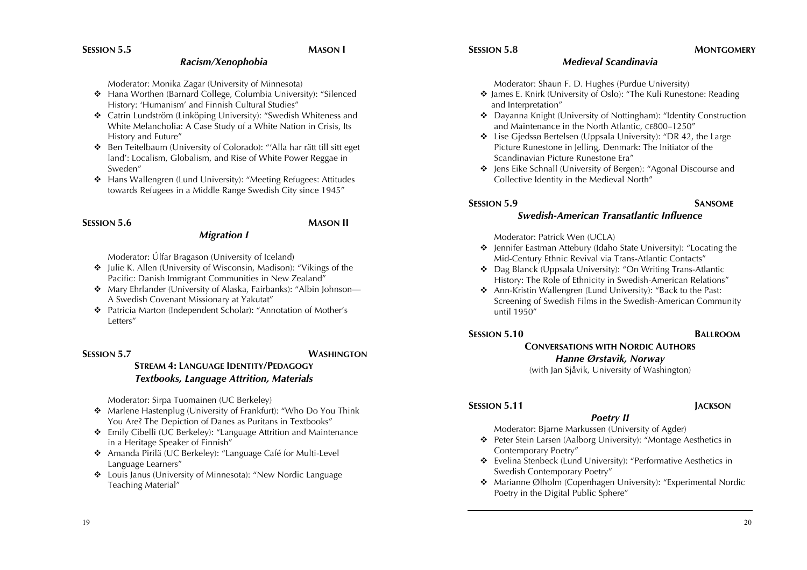### *Racism/Xenophobia*

Moderator: Monika Zagar (University of Minnesota)

- ! Hana Worthen (Barnard College, Columbia University): "Silenced History: 'Humanism' and Finnish Cultural Studies"
- ! Catrin Lundström (Linköping University): "Swedish Whiteness and White Melancholia: A Case Study of a White Nation in Crisis, Its History and Future"
- ! Ben Teitelbaum (University of Colorado): "'Alla har rätt till sitt eget land': Localism, Globalism, and Rise of White Power Reggae in Sweden"
- ! Hans Wallengren (Lund University): "Meeting Refugees: Attitudes towards Refugees in a Middle Range Swedish City since 1945"

### **SESSION 5.6 MASON II**

# *Migration I*

Moderator: Úlfar Bragason (University of Iceland)

- ! Julie K. Allen (University of Wisconsin, Madison): "Vikings of the Pacific: Danish Immigrant Communities in New Zealand"
- Mary Ehrlander (University of Alaska, Fairbanks): "Albin Johnson— A Swedish Covenant Missionary at Yakutat"
- ! Patricia Marton (Independent Scholar): "Annotation of Mother's Letters"

# **SESSION 5.7 WASHINGTON**

# **STREAM 4: LANGUAGE IDENTITY/PEDAGOGY** *Textbooks, Language Attrition, Materials*

Moderator: Sirpa Tuomainen (UC Berkeley)

- ! Marlene Hastenplug (University of Frankfurt): "Who Do You Think You Are? The Depiction of Danes as Puritans in Textbooks"
- ! Emily Cibelli (UC Berkeley): "Language Attrition and Maintenance in a Heritage Speaker of Finnish"
- ! Amanda Pirilä (UC Berkeley): "Language Café for Multi-Level Language Learners"
- ! Louis Janus (University of Minnesota): "New Nordic Language Teaching Material"

### **SESSION 5.8 MONTGOMERY**

# *Medieval Scandinavia*

Moderator: Shaun F. D. Hughes (Purdue University)

- ! James E. Knirk (University of Oslo): "The Kuli Runestone: Reading and Interpretation"
- ! Dayanna Knight (University of Nottingham): "Identity Construction and Maintenance in the North Atlantic, CE800–1250"
- ! Lise Gjedssø Bertelsen (Uppsala University): "DR 42, the Large Picture Runestone in Jelling, Denmark: The Initiator of the Scandinavian Picture Runestone Era"
- $\div$  Jens Eike Schnall (University of Bergen): "Agonal Discourse and Collective Identity in the Medieval North"

# **SESSION 5.9 SANSOME**

# *Swedish-American Transatlantic Influence*

### Moderator: Patrick Wen (UCLA)

- ! Jennifer Eastman Attebury (Idaho State University): "Locating the Mid-Century Ethnic Revival via Trans-Atlantic Contacts"
- ! Dag Blanck (Uppsala University): "On Writing Trans-Atlantic History: The Role of Ethnicity in Swedish-American Relations"
- ! Ann-Kristin Wallengren (Lund University): "Back to the Past: Screening of Swedish Films in the Swedish-American Community until 1950"

# **SESSION 5.10 BALLROOM**

# **CONVERSATIONS WITH NORDIC AUTHORS** *Hanne Ørstavik, Norway*

(with Jan Sjåvik, University of Washington)

# **SESSION 5.11 JACKSON**

### *Poetry II* Moderator: Bjarne Markussen (University of Agder)

- ! Peter Stein Larsen (Aalborg University): "Montage Aesthetics in Contemporary Poetry"
- ! Evelina Stenbeck (Lund University): "Performative Aesthetics in Swedish Contemporary Poetry"
- ! Marianne Ølholm (Copenhagen University): "Experimental Nordic Poetry in the Digital Public Sphere"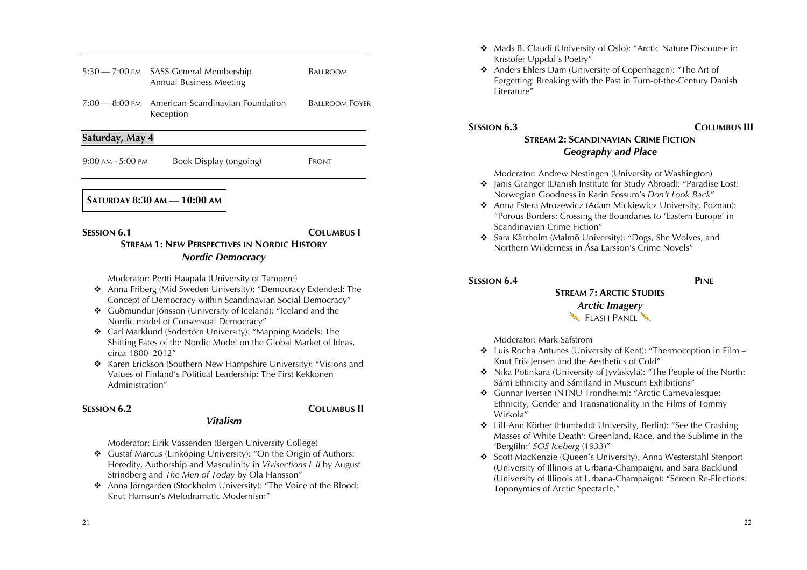| <b>SESSION 6.1</b>    |                                                                          | <b>COLUMBUS</b> I     |
|-----------------------|--------------------------------------------------------------------------|-----------------------|
|                       | <b>SATURDAY 8:30 AM - 10:00 AM</b>                                       |                       |
| $9:00$ AM - $5:00$ PM | Book Display (ongoing)                                                   | Front                 |
| Saturday, May 4       |                                                                          |                       |
| $7:00-8:00$ PM        | American-Scandinavian Foundation<br>Reception                            | <b>BALLROOM FOYER</b> |
|                       | 5:30 - 7:00 PM SASS General Membership<br><b>Annual Business Meeting</b> | Ballroom              |

# **STREAM 1: NEW PERSPECTIVES IN NORDIC HISTORY** *Nordic Democracy*

Moderator: Pertti Haapala (University of Tampere)

- ! Anna Friberg (Mid Sweden University): "Democracy Extended: The Concept of Democracy within Scandinavian Social Democracy"
- ! Guðmundur Jónsson (University of Iceland): "Iceland and the Nordic model of Consensual Democracy"
- ! Carl Marklund (Södertörn University): "Mapping Models: The Shifting Fates of the Nordic Model on the Global Market of Ideas, circa 1800–2012"
- **\*** Karen Erickson (Southern New Hampshire University): "Visions and Values of Finland's Political Leadership: The First Kekkonen Administration"

# **SESSION 6.2 COLUMBUS II**

Moderator: Eirik Vassenden (Bergen University College)

\* Gustaf Marcus (Linköping University): "On the Origin of Authors: Heredity, Authorship and Masculinity in *Vivisections I–II* by August Strindberg and *The Men of Today* by Ola Hansson"

*Vitalism*

**\*** Anna Jörngarden (Stockholm University): "The Voice of the Blood: Knut Hamsun's Melodramatic Modernism"

- ! Mads B. Claudi (University of Oslo): "Arctic Nature Discourse in Kristofer Uppdal's Poetry"
- \* Anders Ehlers Dam (University of Copenhagen): "The Art of Forgetting: Breaking with the Past in Turn-of-the-Century Danish Literature"

# **SESSION 6.3 COLUMBUS III**

# **STREAM 2: SCANDINAVIAN CRIME FICTION** *Geography and Place*

Moderator: Andrew Nestingen (University of Washington)

- ! Janis Granger (Danish Institute for Study Abroad): "Paradise Lost: Norwegian Goodness in Karin Fossum's *Don't Look Back*"
- ! Anna Estera Mrozewicz (Adam Mickiewicz University, Poznan): "Porous Borders: Crossing the Boundaries to 'Eastern Europe' in Scandinavian Crime Fiction"
- ! Sara Kärrholm (Malmö University): "Dogs, She Wolves, and Northern Wilderness in Åsa Larsson's Crime Novels"

# **SESSION 6.4 PINE**

# **STREAM 7: ARCTIC STUDIES** *Arctic Imagery* FLASH PANEL

Moderator: Mark Safstrom

- $\triangleleft$  Luis Rocha Antunes (University of Kent): "Thermoception in Film Knut Erik Jensen and the Aesthetics of Cold"
- ! Nika Potinkara (University of Jyväskylä): "The People of the North: Sámi Ethnicity and Sámiland in Museum Exhibitions"
- ! Gunnar Iversen (NTNU Trondheim): "Arctic Carnevalesque: Ethnicity, Gender and Transnationality in the Films of Tommy Wirkola"
- ! Lill-Ann Körber (Humboldt University, Berlin): "See the Crashing Masses of White Death': Greenland, Race, and the Sublime in the 'Bergfilm' *SOS Iceberg* (1933)"
- ! Scott MacKenzie (Queen's University), Anna Westerstahl Stenport (University of Illinois at Urbana-Champaign), and Sara Backlund (University of Illinois at Urbana-Champaign): "Screen Re-Flections: Toponymies of Arctic Spectacle."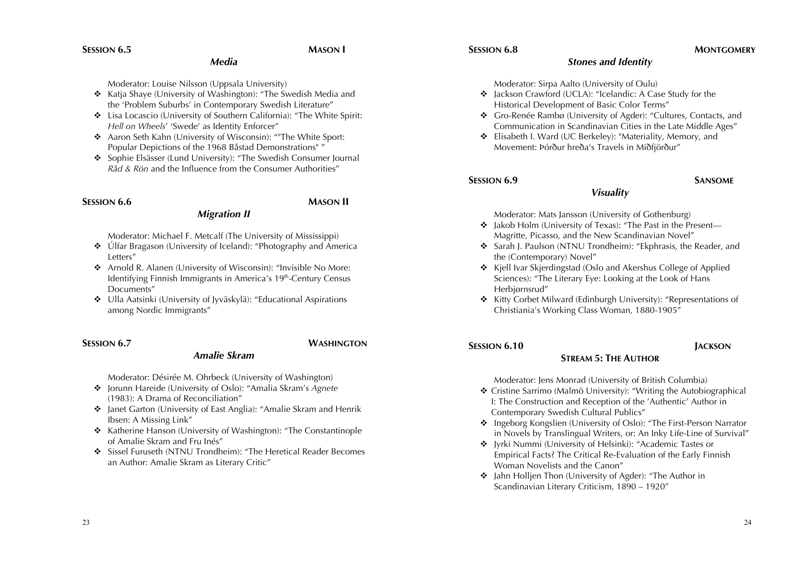### **SESSION 6.8 MONTGOMERY**

### *Media*

Moderator: Louise Nilsson (Uppsala University)

- \* Katia Shave (University of Washington): "The Swedish Media and the 'Problem Suburbs' in Contemporary Swedish Literature"
- ! Lisa Locascio (University of Southern California): "The White Spirit: *Hell on Wheels*' 'Swede' as Identity Enforcer"
- **\*** Aaron Seth Kahn (University of Wisconsin): ""The White Sport: Popular Depictions of the 1968 Båstad Demonstrations" "
- ! Sophie Elsässer (Lund University): "The Swedish Consumer Journal *Råd & Rön* and the Influence from the Consumer Authorities"

### **SESSION 6.6 MASON II**

# *Migration II*

Moderator: Michael F. Metcalf (The University of Mississippi)

- Úlfar Bragason (University of Iceland): "Photography and America Letters"
- ! Arnold R. Alanen (University of Wisconsin): "Invisible No More: Identifying Finnish Immigrants in America's 19<sup>th</sup>-Century Census Documents"
- ◆ Ulla Aatsinki (University of Jyväskylä): "Educational Aspirations among Nordic Immigrants"

### **SESSION 6.7 WASHINGTON**

# *Amalie Skram*

Moderator: Désirée M. Ohrbeck (University of Washington)

- ! Jorunn Hareide (University of Oslo): "Amalia Skram's *Agnete*  (1983): A Drama of Reconciliation"
- ! Janet Garton (University of East Anglia): "Amalie Skram and Henrik Ibsen: A Missing Link"
- ! Katherine Hanson (University of Washington): "The Constantinople of Amalie Skram and Fru Inés"
- $\div$  Sissel Furuseth (NTNU Trondheim): "The Heretical Reader Becomes an Author: Amalie Skram as Literary Critic"

### *Stones and Identity*

Moderator: Sirpa Aalto (University of Oulu)

- ! Jackson Crawford (UCLA): "Icelandic: A Case Study for the Historical Development of Basic Color Terms"
- ! Gro-Renée Rambø (University of Agder): "Cultures, Contacts, and Communication in Scandinavian Cities in the Late Middle Ages"
- ! Elisabeth I. Ward (UC Berkeley): "Materiality, Memory, and Movement: Þórður hreða's Travels in Miðfjörður"

### **SESSION 6.9 SANSOME**

# *Visuality*

Moderator: Mats Jansson (University of Gothenburg)

- ! Jakob Holm (University of Texas): "The Past in the Present— Magritte, Picasso, and the New Scandinavian Novel"
- ! Sarah J. Paulson (NTNU Trondheim): "Ekphrasis, the Reader, and the (Contemporary) Novel"
- ! Kjell Ivar Skjerdingstad (Oslo and Akershus College of Applied Sciences): "The Literary Eye: Looking at the Look of Hans Herbjørnsrud"
- ! Kitty Corbet Milward (Edinburgh University): "Representations of Christiania's Working Class Woman, 1880-1905"

# **SESSION 6.10 JACKSON**

# **STREAM 5: THE AUTHOR**

Moderator: Jens Monrad (University of British Columbia)

- ! Cristine Sarrimo (Malmö University): "Writing the Autobiographical I: The Construction and Reception of the 'Authentic' Author in Contemporary Swedish Cultural Publics"
- ! Ingeborg Kongslien (University of Oslo): "The First-Person Narrator in Novels by Translingual Writers, or: An Inky Life-Line of Survival"
- ! Jyrki Nummi (University of Helsinki): "Academic Tastes or Empirical Facts? The Critical Re-Evaluation of the Early Finnish Woman Novelists and the Canon"
- ! Jahn Holljen Thon (University of Agder): "The Author in Scandinavian Literary Criticism, 1890 – 1920"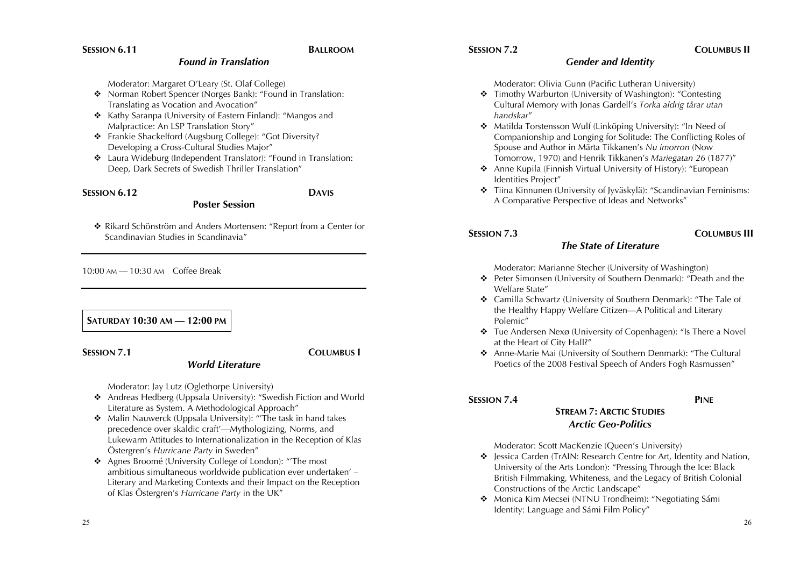# **SESSION 7.2 COLUMBUS II**

### *Gender and Identity*

Moderator: Olivia Gunn (Pacific Lutheran University)

- ! Timothy Warburton (University of Washington): "Contesting Cultural Memory with Jonas Gardell's *Torka aldrig tårar utan handskar*"
- \* Matilda Torstensson Wulf (Linköping University): "In Need of Companionship and Longing for Solitude: The Conflicting Roles of Spouse and Author in Märta Tikkanen's *Nu imorron* (Now Tomorrow, 1970) and Henrik Tikkanen's *Mariegatan 26* (1877)"
- ◆ Anne Kupila (Finnish Virtual University of History): "European Identities Project"
- **\*** Tiina Kinnunen (University of Jyväskylä): "Scandinavian Feminisms: A Comparative Perspective of Ideas and Networks"

# **SESSION 7.3 COLUMBUS III**

# *The State of Literature*

Moderator: Marianne Stecher (University of Washington)

- ! Peter Simonsen (University of Southern Denmark): "Death and the Welfare State"
- ! Camilla Schwartz (University of Southern Denmark): "The Tale of the Healthy Happy Welfare Citizen—A Political and Literary Polemic"
- $\triangle$  Tue Andersen Nexø (University of Copenhagen): "Is There a Novel at the Heart of City Hall?"
- ! Anne-Marie Mai (University of Southern Denmark): "The Cultural Poetics of the 2008 Festival Speech of Anders Fogh Rasmussen"

# **SESSION 7.4 PINE**

# **STREAM 7: ARCTIC STUDIES** *Arctic Geo-Politics*

Moderator: Scott MacKenzie (Queen's University)

- ! Jessica Carden (TrAIN: Research Centre for Art, Identity and Nation, University of the Arts London): "Pressing Through the Ice: Black British Filmmaking, Whiteness, and the Legacy of British Colonial Constructions of the Arctic Landscape"
- ◆ Monica Kim Mecsei (NTNU Trondheim): "Negotiating Sámi Identity: Language and Sámi Film Policy"

*Found in Translation*

Moderator: Margaret O'Leary (St. Olaf College)

- **\*** Norman Robert Spencer (Norges Bank): "Found in Translation: Translating as Vocation and Avocation"
- ! Kathy Saranpa (University of Eastern Finland): "Mangos and Malpractice: An LSP Translation Story"
- \* Frankie Shackelford (Augsburg College): "Got Diversity? Developing a Cross-Cultural Studies Major"
- ! Laura Wideburg (Independent Translator): "Found in Translation: Deep, Dark Secrets of Swedish Thriller Translation"

**Poster Session**

### **SESSION 6.12 DAVIS**

! Rikard Schönström and Anders Mortensen: "Report from a Center for Scandinavian Studies in Scandinavia"

10:00 AM — 10:30 AM Coffee Break

# **SATURDAY 10:30 AM — 12:00 PM**

**SESSION 7.1 COLUMBUS I**

Moderator: Jay Lutz (Oglethorpe University)

! Andreas Hedberg (Uppsala University): "Swedish Fiction and World Literature as System. A Methodological Approach"

*World Literature*

- \* Malin Nauwerck (Uppsala University): "The task in hand takes precedence over skaldic craft'—Mythologizing, Norms, and Lukewarm Attitudes to Internationalization in the Reception of Klas Östergren's *Hurricane Party* in Sweden"
- ! Agnes Broomé (University College of London): "'The most ambitious simultaneous worldwide publication ever undertaken' – Literary and Marketing Contexts and their Impact on the Reception of Klas Östergren's *Hurricane Party* in the UK"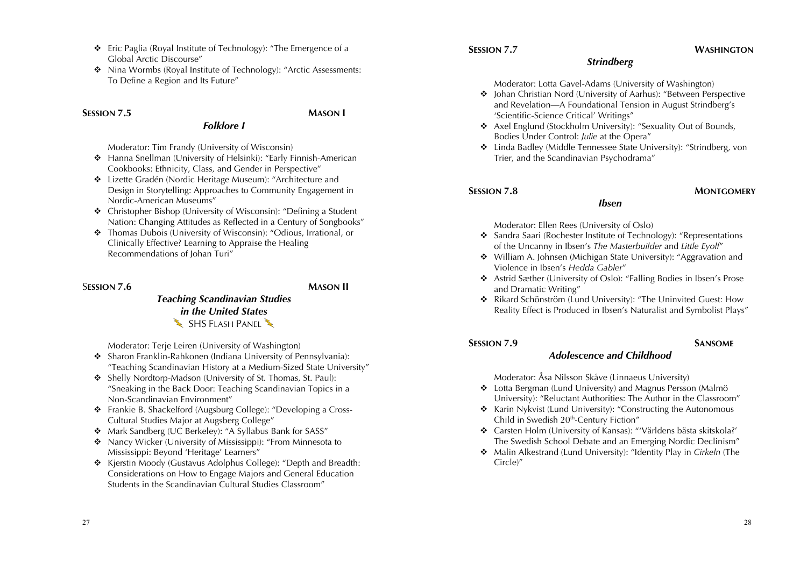- ! Eric Paglia (Royal Institute of Technology): "The Emergence of a Global Arctic Discourse"
- ! Nina Wormbs (Royal Institute of Technology): "Arctic Assessments: To Define a Region and Its Future"

### **SESSION 7.5 MASON I**

Moderator: Tim Frandy (University of Wisconsin)

◆ Hanna Snellman (University of Helsinki): "Early Finnish-American Cookbooks: Ethnicity, Class, and Gender in Perspective"

*Folklore I*

- ! Lizette Gradén (Nordic Heritage Museum): "Architecture and Design in Storytelling: Approaches to Community Engagement in Nordic-American Museums"
- ! Christopher Bishop (University of Wisconsin): "Defining a Student Nation: Changing Attitudes as Reflected in a Century of Songbooks"
- ! Thomas Dubois (University of Wisconsin): "Odious, Irrational, or Clinically Effective? Learning to Appraise the Healing Recommendations of Johan Turi"

### S**ESSION 7.6 MASON II**

# *Teaching Scandinavian Studies in the United States*  $\blacktriangleright$  SHS FLASH PANEL

Moderator: Terje Leiren (University of Washington)

- $\div$  Sharon Franklin-Rahkonen (Indiana University of Pennsylvania): "Teaching Scandinavian History at a Medium-Sized State University"
- ! Shelly Nordtorp-Madson (University of St. Thomas, St. Paul): "Sneaking in the Back Door: Teaching Scandinavian Topics in a Non-Scandinavian Environment"
- ! Frankie B. Shackelford (Augsburg College): "Developing a Cross-Cultural Studies Major at Augsberg College"
- \* Mark Sandberg (UC Berkeley): "A Syllabus Bank for SASS"
- Nancy Wicker (University of Mississippi): "From Minnesota to Mississippi: Beyond 'Heritage' Learners"
- \* Kjerstin Moody (Gustavus Adolphus College): "Depth and Breadth: Considerations on How to Engage Majors and General Education Students in the Scandinavian Cultural Studies Classroom"

# **SESSION 7.7 WASHINGTON**

# *Strindberg*

Moderator: Lotta Gavel-Adams (University of Washington)

- $\div$  Johan Christian Nord (University of Aarhus): "Between Perspective and Revelation—A Foundational Tension in August Strindberg's 'Scientific-Science Critical' Writings"
- \* Axel Englund (Stockholm University): "Sexuality Out of Bounds, Bodies Under Control: *Julie* at the Opera"
- ! Linda Badley (Middle Tennessee State University): "Strindberg, von Trier, and the Scandinavian Psychodrama"

### **SESSION 7.8 MONTGOMERY**

Moderator: Ellen Rees (University of Oslo)

! Sandra Saari (Rochester Institute of Technology): "Representations of the Uncanny in Ibsen's *The Masterbuilder* and *Little Eyolf*"

*Ibsen*

- ! William A. Johnsen (Michigan State University): "Aggravation and Violence in Ibsen's *Hedda Gabler*"
- ! Astrid Sæther (University of Oslo): "Falling Bodies in Ibsen's Prose and Dramatic Writing"
- ! Rikard Schönström (Lund University): "The Uninvited Guest: How Reality Effect is Produced in Ibsen's Naturalist and Symbolist Plays"

# **SESSION 7.9 SANSOME**

### *Adolescence and Childhood*

Moderator: Åsa Nilsson Skåve (Linnaeus University)

- ! Lotta Bergman (Lund University) and Magnus Persson (Malmö University): "Reluctant Authorities: The Author in the Classroom"
- \* Karin Nykvist (Lund University): "Constructing the Autonomous Child in Swedish 20<sup>th</sup>-Century Fiction"
- ! Carsten Holm (University of Kansas): "'Världens bästa skitskola?' The Swedish School Debate and an Emerging Nordic Declinism"
- ! Malin Alkestrand (Lund University): "Identity Play in *Cirkeln* (The Circle)"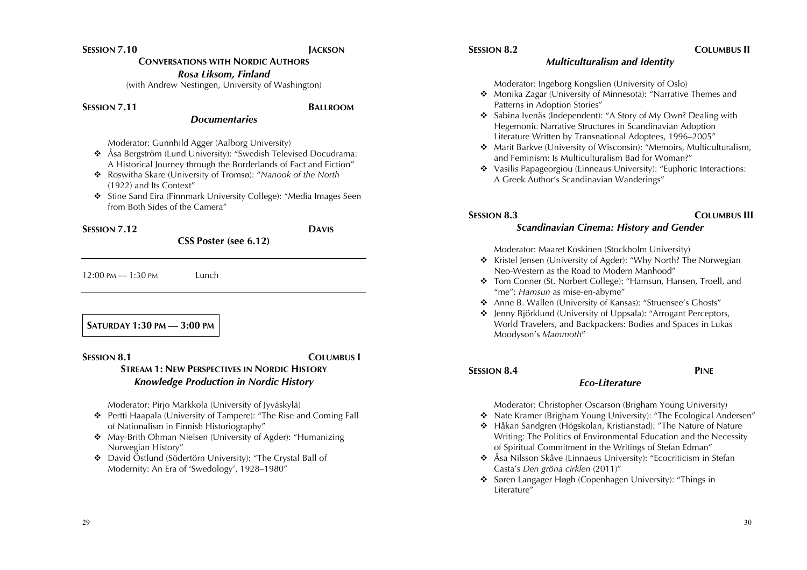# **SESSION 7.10 JACKSON**

**CONVERSATIONS WITH NORDIC AUTHORS**

*Rosa Liksom, Finland*

(with Andrew Nestingen, University of Washington)

### **SESSION 7.11 BALLROOM**

# *Documentaries*

Moderator: Gunnhild Agger (Aalborg University)

- ! Åsa Bergström (Lund University): "Swedish Televised Docudrama: A Historical Journey through the Borderlands of Fact and Fiction"
- ! Roswitha Skare (University of Tromsø): "*Nanook of the North*  (1922) and Its Context"
- $\div$  Stine Sand Eira (Finnmark University College): "Media Images Seen from Both Sides of the Camera"

**SESSION 7.12 DAVIS**

**CSS Poster (see 6.12)**

12:00 PM — 1:30 PM Lunch

**SATURDAY 1:30 PM — 3:00 PM** 

### **SESSION 8.1 COLUMBUS I STREAM 1: NEW PERSPECTIVES IN NORDIC HISTORY** *Knowledge Production in Nordic History*

Moderator: Pirjo Markkola (University of Jyväskylä)

- ! Pertti Haapala (University of Tampere): "The Rise and Coming Fall of Nationalism in Finnish Historiography"
- ◆ May-Brith Ohman Nielsen (University of Agder): "Humanizing Norwegian History"
- ! David Östlund (Södertörn University): "The Crystal Ball of Modernity: An Era of 'Swedology', 1928–1980"

# **SESSION 8.2 COLUMBUS II**

# *Multiculturalism and Identity*

Moderator: Ingeborg Kongslien (University of Oslo)

- ! Monika Zagar (University of Minnesota): "Narrative Themes and Patterns in Adoption Stories"
- ! Sabina Ivenäs (Independent): "A Story of My Own? Dealing with Hegemonic Narrative Structures in Scandinavian Adoption Literature Written by Transnational Adoptees, 1996–2005"
- ! Marit Barkve (University of Wisconsin): "Memoirs, Multiculturalism, and Feminism: Is Multiculturalism Bad for Woman?"
- Vasilis Papageorgiou (Linneaus University): "Euphoric Interactions: A Greek Author's Scandinavian Wanderings"

# **SESSION 8.3 COLUMBUS III**

# *Scandinavian Cinema: History and Gender*

### Moderator: Maaret Koskinen (Stockholm University)

- \* Kristel Jensen (University of Agder): "Why North? The Norwegian Neo-Western as the Road to Modern Manhood"
- \* Tom Conner (St. Norbert College): "Hamsun, Hansen, Troell, and "me": *Hamsun* as mise-en-abyme"
- ! Anne B. Wallen (University of Kansas): "Struensee's Ghosts"
- ! Jenny Björklund (University of Uppsala): "Arrogant Perceptors, World Travelers, and Backpackers: Bodies and Spaces in Lukas Moodyson's *Mammoth*"

# **SESSION 8.4 PINE**

# *Eco-Literature*

Moderator: Christopher Oscarson (Brigham Young University)

- \* Nate Kramer (Brigham Young University): "The Ecological Andersen"
- ! Håkan Sandgren (Högskolan, Kristianstad): "The Nature of Nature Writing: The Politics of Environmental Education and the Necessity of Spiritual Commitment in the Writings of Stefan Edman"
- ! Åsa Nilsson Skåve (Linnaeus University): "Ecocriticism in Stefan Casta's *Den gröna cirklen* (2011)"
- ! Søren Langager Høgh (Copenhagen University): "Things in Literature"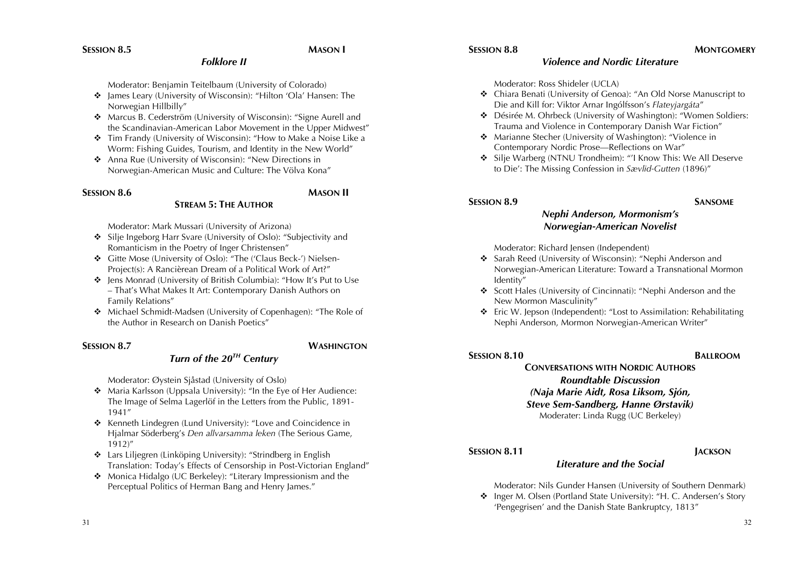### *Folklore II*

Moderator: Benjamin Teitelbaum (University of Colorado)

- ◆ James Leary (University of Wisconsin): "Hilton 'Ola' Hansen: The Norwegian Hillbilly"
- ! Marcus B. Cederström (University of Wisconsin): "Signe Aurell and the Scandinavian-American Labor Movement in the Upper Midwest"
- ! Tim Frandy (University of Wisconsin): "How to Make a Noise Like a Worm: Fishing Guides, Tourism, and Identity in the New World"
- ❖ Anna Rue (University of Wisconsin): "New Directions in Norwegian-American Music and Culture: The Völva Kona"

### **SESSION 8.6 MASON II**

Moderator: Mark Mussari (University of Arizona)

• Silje Ingeborg Harr Svare (University of Oslo): "Subjectivity and Romanticism in the Poetry of Inger Christensen"

**STREAM 5: THE AUTHOR**

- ! Gitte Mose (University of Oslo): "The ('Claus Beck-') Nielsen-Project(s): A Rancièrean Dream of a Political Work of Art?"
- ! Jens Monrad (University of British Columbia): "How It's Put to Use – That's What Makes It Art: Contemporary Danish Authors on Family Relations"
- ! Michael Schmidt-Madsen (University of Copenhagen): "The Role of the Author in Research on Danish Poetics"

# **SESSION 8.7 WASHINGTON**

# *Turn of the 20TH Century*

Moderator: Øystein Sjåstad (University of Oslo)

- ◆ Maria Karlsson (Uppsala University): "In the Eye of Her Audience: The Image of Selma Lagerlöf in the Letters from the Public, 1891- 1941"
- ! Kenneth Lindegren (Lund University): "Love and Coincidence in Hjalmar Söderberg's *Den allvarsamma leken* (The Serious Game, 1912)"
- $\triangle$  Lars Liljegren (Linköping University): "Strindberg in English Translation: Today's Effects of Censorship in Post-Victorian England"
- ◆ Monica Hidalgo (UC Berkeley): "Literary Impressionism and the Perceptual Politics of Herman Bang and Henry James."

### **SESSION 8.8 MONTGOMERY**

# *Violence and Nordic Literature*

Moderator: Ross Shideler (UCLA)

- ! Chiara Benati (University of Genoa): "An Old Norse Manuscript to Die and Kill for: Viktor Arnar Ingólfsson's *Flateyjargáta*"
- ! Désirée M. Ohrbeck (University of Washington): "Women Soldiers: Trauma and Violence in Contemporary Danish War Fiction"
- ! Marianne Stecher (University of Washington): "Violence in Contemporary Nordic Prose—Reflections on War"
- ! Silje Warberg (NTNU Trondheim): "'I Know This: We All Deserve to Die': The Missing Confession in *Sævlid-Gutten* (1896)"

# **SESSION 8.9 SANSOME**

# *Nephi Anderson, Mormonism's Norwegian-American Novelist*

Moderator: Richard Jensen (Independent)

- ! Sarah Reed (University of Wisconsin): "Nephi Anderson and Norwegian-American Literature: Toward a Transnational Mormon Identity"
- ! Scott Hales (University of Cincinnati): "Nephi Anderson and the New Mormon Masculinity"
- ! Eric W. Jepson (Independent): "Lost to Assimilation: Rehabilitating Nephi Anderson, Mormon Norwegian-American Writer"

# **CONVERSATIONS WITH NORDIC AUTHORS** *Roundtable Discussion (Naja Marie Aidt, Rosa Liksom, Sjón, Steve Sem-Sandberg, Hanne Ørstavik)* Moderater: Linda Rugg (UC Berkeley)

# **SESSION 8.11 JACKSON**

# *Literature and the Social*

Moderator: Nils Gunder Hansen (University of Southern Denmark)

! Inger M. Olsen (Portland State University): "H. C. Andersen's Story 'Pengegrisen' and the Danish State Bankruptcy, 1813"

# **SESSION 8.10 BALLROOM**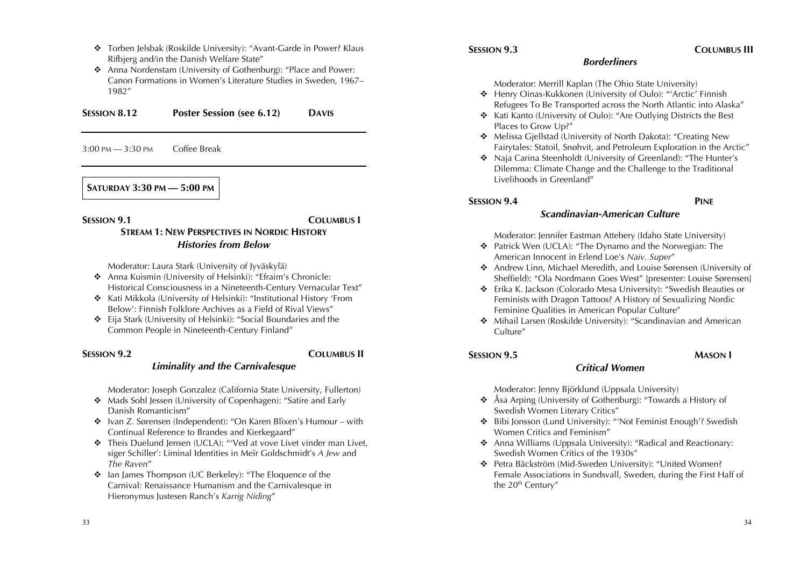- \* Torben Jelsbak (Roskilde University): "Avant-Garde in Power? Klaus Rifbjerg and/in the Danish Welfare State"
- ! Anna Nordenstam (University of Gothenburg): "Place and Power: Canon Formations in Women's Literature Studies in Sweden, 1967– 1982"

**SESSION 8.12 Poster Session (see 6.12) DAVIS**

3:00 PM — 3:30 PM Coffee Break

### **SATURDAY 3:30 PM — 5:00 PM**

### **SESSION 9.1 COLUMBUS I**

# **STREAM 1: NEW PERSPECTIVES IN NORDIC HISTORY** *Histories from Below*

Moderator: Laura Stark (University of Jyväskylä)

- ! Anna Kuismin (University of Helsinki): "Efraim's Chronicle: Historical Consciousness in a Nineteenth-Century Vernacular Text"
- ! Kati Mikkola (University of Helsinki): "Institutional History 'From Below': Finnish Folklore Archives as a Field of Rival Views"
- ! Eija Stark (University of Helsinki): "Social Boundaries and the Common People in Nineteenth-Century Finland"

# **SESSION 9.2 COLUMBUS II**

### *Liminality and the Carnivalesque*

Moderator: Joseph Gonzalez (California State University, Fullerton)

- Mads Sohl Jessen (University of Copenhagen): "Satire and Early Danish Romanticism"
- ! Ivan Z. Sørensen (Independent): "On Karen Blixen's Humour with Continual Reference to Brandes and Kierkegaard"
- \* Theis Duelund Jensen (UCLA): "'Ved at vove Livet vinder man Livet, siger Schiller': Liminal Identities in Meïr Goldschmidt's *A Jew* and *The Raven*"
- ! Ian James Thompson (UC Berkeley): "The Eloquence of the Carnival: Renaissance Humanism and the Carnivalesque in Hieronymus Justesen Ranch's *Karrig Niding*"

### **SESSION 9.3 COLUMBUS III**

### *Borderliners*

Moderator: Merrill Kaplan (The Ohio State University)

- ! Henry Oinas-Kukkonen (University of Oulo): "'Arctic' Finnish Refugees To Be Transported across the North Atlantic into Alaska"
- ! Kati Kanto (University of Oulo): "Are Outlying Districts the Best Places to Grow Up?"
- ! Melissa Gjellstad (University of North Dakota): "Creating New Fairytales: Statoil, Snøhvit, and Petroleum Exploration in the Arctic"
- ! Naja Carina Steenholdt (University of Greenland): "The Hunter's Dilemma: Climate Change and the Challenge to the Traditional Livelihoods in Greenland"

### **SESSION 9.4 PINE**

### *Scandinavian-American Culture*

Moderator: Jennifer Eastman Attebery (Idaho State University)

- ! Patrick Wen (UCLA): "The Dynamo and the Norwegian: The American Innocent in Erlend Loe's *Naiv. Super*"
- ! Andrew Linn, Michael Meredith, and Louise Sørensen (University of Sheffield): "Ola Nordmann Goes West" [presenter: Louise Sørensen]
- ! Erika K. Jackson (Colorado Mesa University): "Swedish Beauties or Feminists with Dragon Tattoos? A History of Sexualizing Nordic Feminine Qualities in American Popular Culture"
- ! Mihail Larsen (Roskilde University): "Scandinavian and American Culture"

### **SESSION 9.5 MASON I**

# *Critical Women*

Moderator: Jenny Björklund (Uppsala University)

- ! Åsa Arping (University of Gothenburg): "Towards a History of Swedish Women Literary Critics"
- ! Bibi Jonsson (Lund University): "'Not Feminist Enough'? Swedish Women Critics and Feminism"
- ! Anna Williams (Uppsala University): "Radical and Reactionary: Swedish Women Critics of the 1930s"
- ! Petra Bäckström (Mid-Sweden University): "United Women? Female Associations in Sundsvall, Sweden, during the First Half of the 20<sup>th</sup> Century"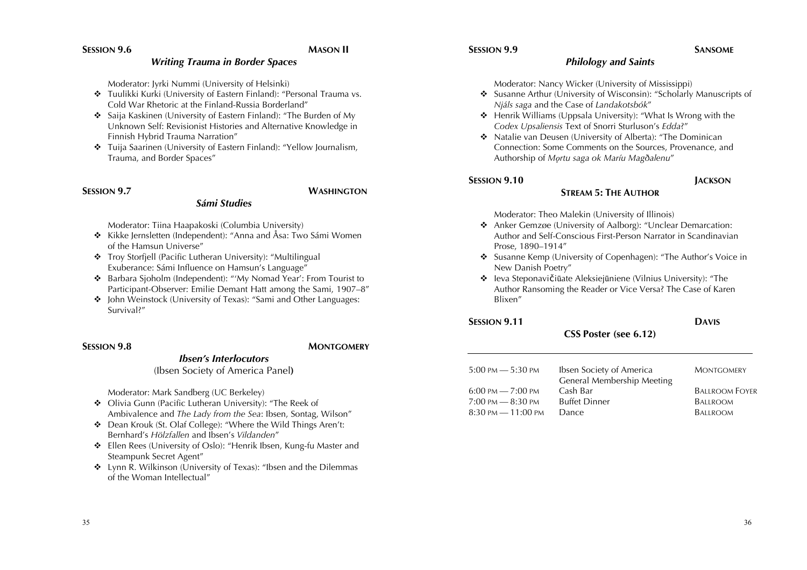# **SESSION 9.6 MASON II**

### *Writing Trauma in Border Spaces*

Moderator: Jyrki Nummi (University of Helsinki)

- **\*** Tuulikki Kurki (University of Eastern Finland): "Personal Trauma vs. Cold War Rhetoric at the Finland-Russia Borderland"
- ! Saija Kaskinen (University of Eastern Finland): "The Burden of My Unknown Self: Revisionist Histories and Alternative Knowledge in Finnish Hybrid Trauma Narration"
- ◆ Tuija Saarinen (University of Eastern Finland): "Yellow Journalism, Trauma, and Border Spaces"

*Sámi Studies*

### **SESSION 9.7 WASHINGTON**

Moderator: Tiina Haapakoski (Columbia University)

- ❖ Kikke Jernsletten (Independent): "Anna and Åsa: Two Sámi Women of the Hamsun Universe"
- **\*** Troy Storfiell (Pacific Lutheran University): "Multilingual Exuberance: Sámi Influence on Hamsun's Language"
- ! Barbara Sjoholm (Independent): "'My Nomad Year': From Tourist to Participant-Observer: Emilie Demant Hatt among the Sami, 1907–8"
- John Weinstock (University of Texas): "Sami and Other Languages: Survival?"

### **SESSION 9.8 MONTGOMERY**

### *Ibsen's Interlocutors*

(Ibsen Society of America Panel**)**

Moderator: Mark Sandberg (UC Berkeley)

- ! Olivia Gunn (Pacific Lutheran University): "The Reek of Ambivalence and *The Lady from the Sea*: Ibsen, Sontag, Wilson"
- ! Dean Krouk (St. Olaf College): "Where the Wild Things Aren't: Bernhard's *Hölzfallen* and Ibsen's *Vildanden*"
- ! Ellen Rees (University of Oslo): "Henrik Ibsen, Kung-fu Master and Steampunk Secret Agent"
- ◆ Lynn R. Wilkinson (University of Texas): "Ibsen and the Dilemmas of the Woman Intellectual"

### **SESSION 9.9 SANSOME**

### *Philology and Saints*

Moderator: Nancy Wicker (University of Mississippi)

- ! Susanne Arthur (University of Wisconsin): "Scholarly Manuscripts of *Njáls saga* and the Case of *Landakotsbók*"
- ! Henrik Williams (Uppsala University): "What Is Wrong with the *Codex Upsaliensis* Text of Snorri Sturluson's *Edda*?"
- ! Natalie van Deusen (University of Alberta): "The Dominican Connection: Some Comments on the Sources, Provenance, and Authorship of *Mǫrtu saga ok Maríu Magðalenu*"

### **SESSION 9.10 JACKSON**

# **STREAM 5: THE AUTHOR**

Moderator: Theo Malekin (University of Illinois)

- ! Anker Gemzøe (University of Aalborg): "Unclear Demarcation: Author and Self-Conscious First-Person Narrator in Scandinavian Prose, 1890–1914"
- ! Susanne Kemp (University of Copenhagen): "The Author's Voice in New Danish Poetry"
- ! Ieva Steponavičiūate Aleksiejūniene (Vilnius University): "The Author Ransoming the Reader or Vice Versa? The Case of Karen Blixen"

# **SESSION 9.11 DAVIS**

### **CSS Poster (see 6.12)**

| 5:00 pm — 5:30 pm  | Ibsen Society of America<br>General Membership Meeting | <b>MONTGOMERY</b>     |
|--------------------|--------------------------------------------------------|-----------------------|
| 6:00 pm — 7:00 pm  | Cash Bar                                               | <b>BALLROOM FOYER</b> |
| 7:00 РМ — 8:30 РМ  | <b>Buffet Dinner</b>                                   | <b>BALLROOM</b>       |
| 8:30 pm — 11:00 pm | <b>Dance</b>                                           | <b>BALLROOM</b>       |
|                    |                                                        |                       |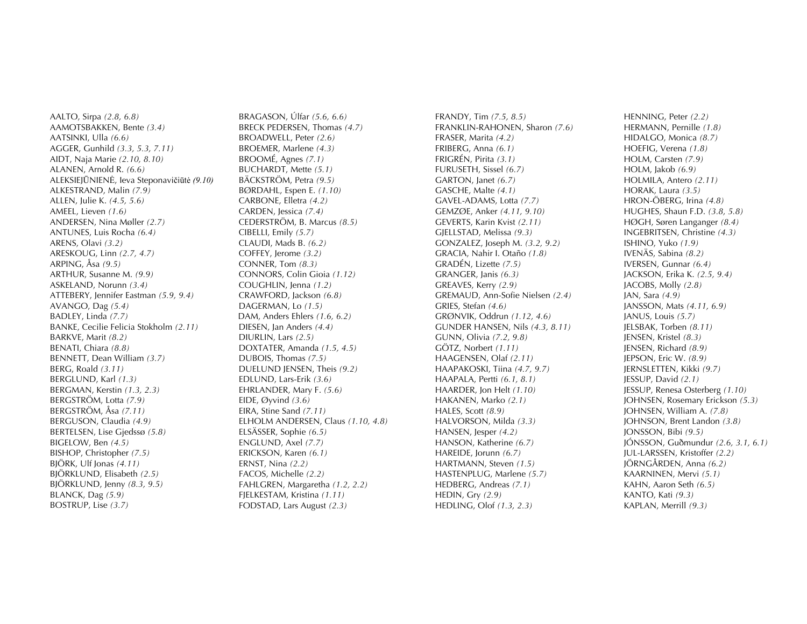AALTO, Sirpa *(2.8, 6.8)* AAMOTSBAKKEN, Bente *(3.4)* AATSINKI, Ulla *(6.6)* AGGER, Gunhild *(3.3, 5.3, 7.11)* AIDT, Naja Marie *(2.10, 8.10)* ALANEN, Arnold R. *(6.6)* ALEKSIEJŪNIENĖ, Ieva Steponavičiūtė *(9.10)* ALKESTRAND, Malin *(7.9)* ALLEN, Julie K. *(4.5, 5.6)* AMEEL, Lieven *(1.6)* ANDERSEN, Nina Møller *(2.7)* ANTUNES, Luis Rocha *(6.4)* ARENS, Olavi *(3.2)* ARESKOUG, Linn *(2.7, 4.7)* ARPING, Åsa *(9.5)* ARTHUR, Susanne M. *(9.9)* ASKELAND, Norunn *(3.4)* ATTEBERY, Jennifer Eastman *(5.9, 9.4)* AVANGO, Dag *(5.4)* BADLEY, Linda *(7.7)* BANKE, Cecilie Felicia Stokholm *(2.11)* BARKVE, Marit *(8.2)* BENATI, Chiara *(8.8)* BENNETT, Dean William *(3.7)* BERG, Roald *(3.11)* BERGLUND, Karl *(1.3)* BERGMAN, Kerstin *(1.3, 2.3)* BERGSTRÖM, Lotta *(7.9)* BERGSTRÖM, Åsa *(7.11)* BERGUSON, Claudia *(4.9)* BERTELSEN, Lise Gjedssø *(5.8)* BIGELOW, Ben *(4.5)* BISHOP, Christopher *(7.5)* BJÖRK, Ulf Jonas *(4.11)* BJÖRKLUND, Elisabeth *(2.5)* BJÖRKLUND, Jenny *(8.3, 9.5)* BLANCK, Dag *(5.9)* BOSTRUP, Lise *(3.7)*

BRAGASON, Úlfar *(5.6, 6.6)* BRECK PEDERSEN, Thomas *(4.7)* BROADWELL, Peter *(2.6)* BROEMER, Marlene *(4.3)* BROOMÉ, Agnes *(7.1)* BUCHARDT, Mette *(5.1)* BÄCKSTRÖM, Petra *(9.5)* BØRDAHL, Espen E. *(1.10)* CARBONE, Elletra *(4.2)* CARDEN, Jessica *(7.4)* CEDERSTRÖM, B. Marcus *(8.5)* CIBELLI, Emily *(5.7)* CLAUDI, Mads B. *(6.2)* COFFEY, Jerome *(3.2)* CONNER, Tom *(8.3)* CONNORS, Colin Gioia *(1.12)* COUGHLIN, Jenna *(1.2)* CRAWFORD, Jackson *(6.8)* DAGERMAN, Lo *(1.5)* DAM, Anders Ehlers *(1.6, 6.2)* DIESEN, Jan Anders *(4.4)* DIURLIN, Lars *(2.5)* DOXTATER, Amanda *(1.5, 4.5)* DUBOIS, Thomas *(7.5)* DUELUND JENSEN, Theis *(9.2)* EDLUND, Lars-Erik *(3.6)* EHRLANDER, Mary F. *(5.6)* EIDE, Øyvind *(3.6)* EIRA, Stine Sand *(7.11)* ELHOLM ANDERSEN, Claus *(1.10, 4.8)* ELSÄSSER, Sophie *(6.5)* ENGLUND, Axel *(7.7)* ERICKSON, Karen *(6.1)* ERNST, Nina *(2.2)* FACOS, Michelle *(2.2)* FAHLGREN, Margaretha *(1.2, 2.2)* FJELKESTAM, Kristina *(1.11)* FODSTAD, Lars August *(2.3)*

FRANDY, Tim *(7.5, 8.5)* FRANKLIN-RAHONEN, Sharon *(7.6)* FRASER, Marita *(4.2)* FRIBERG, Anna *(6.1)* FRIGRÉN, Pirita *(3.1)*  FURUSETH, Sissel *(6.7)* GARTON, Janet *(6.7)* GASCHE, Malte *(4.1)* GAVEL-ADAMS, Lotta *(7.7)* GEMZØE, Anker *(4.11, 9.10)* GEVERTS, Karin Kvist *(2.11)* GJELLSTAD, Melissa *(9.3)* GONZALEZ, Joseph M. *(3.2, 9.2)* GRACIA, Nahir I. Otaño *(1.8)* GRADÉN, Lizette *(7.5)* GRANGER, Janis *(6.3)* GREAVES, Kerry *(2.9)* GREMAUD, Ann-Sofie Nielsen *(2.4)* GRIES, Stefan *(4.6)* GRØNVIK, Oddrun *(1.12, 4.6)* GUNDER HANSEN, Nils *(4.3, 8.11)* GUNN, Olivia *(7.2, 9.8)* GÖTZ, Norbert *(1.11)* HAAGENSEN, Olaf *(2.11)* HAAPAKOSKI, Tiina *(4.7, 9.7)* HAAPALA, Pertti *(6.1, 8.1)* HAARDER, Jon Helt *(1.10)* HAKANEN, Marko *(2.1)* HALES, Scott *(8.9)* HALVORSON, Milda *(3.3)* HANSEN, Jesper *(4.2)* HANSON, Katherine *(6.7)* HAREIDE, Jorunn *(6.7)* HARTMANN, Steven *(1.5)* HASTENPLUG, Marlene *(5.7)* HEDBERG, Andreas *(7.1)* HEDIN, Gry *(2.9)* HEDLING, Olof *(1.3, 2.3)*

HENNING, Peter *(2.2)* HERMANN, Pernille *(1.8)* HIDALGO, Monica *(8.7)* HOEFIG, Verena *(1.8)* HOLM, Carsten *(7.9)* HOLM, Jakob *(6.9)* HOLMILA, Antero *(2.11)* HORAK, Laura *(3.5)* HRON-ÖBERG, Irina *(4.8)* HUGHES, Shaun F.D. *(3.8, 5.8)* HØGH, Søren Langanger *(8.4)* INGEBRITSEN, Christine *(4.3)* ISHINO, Yuko *(1.9)* IVENÄS, Sabina *(8.2)* IVERSEN, Gunnar *(6.4)* JACKSON, Erika K. *(2.5, 9.4)* JACOBS, Molly *(2.8)* JAN, Sara *(4.9)* JANSSON, Mats *(4.11, 6.9)* JANUS, Louis *(5.7)* JELSBAK, Torben *(8.11)* JENSEN, Kristel *(8.3)* JENSEN, Richard *(8.9)* JEPSON, Eric W. *(8.9)* JERNSLETTEN, Kikki *(9.7)* JESSUP, David *(2.1)* JESSUP, Renesa Osterberg *(1.10)* JOHNSEN, Rosemary Erickson *(5.3)* JOHNSEN, William A. *(7.8)* JOHNSON, Brent Landon *(3.8)* JONSSON, Bibi *(9.5)* JÓNSSON, Guðmundur *(2.6, 3.1, 6.1)* JUL-LARSSEN, Kristoffer *(2.2)* JÖRNGÅRDEN, Anna *(6.2)* KAARNINEN, Mervi *(5.1)* KAHN, Aaron Seth *(6.5)* KANTO, Kati *(9.3)* KAPLAN, Merrill *(9.3)*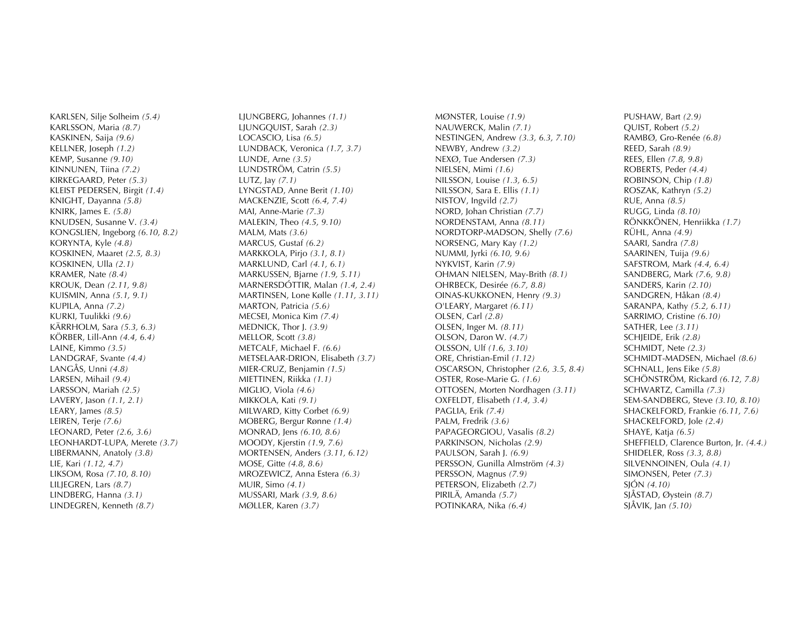KARLSEN, Silje Solheim *(5.4)* KARLSSON, Maria *(8.7)* KASKINEN, Saija *(9.6)* KELLNER, Joseph *(1.2)* KEMP, Susanne *(9.10)* KINNUNEN, Tiina *(7.2)* KIRKEGAARD, Peter *(5.3)* KLEIST PEDERSEN, Birgit *(1.4)* KNIGHT, Dayanna *(5.8)* KNIRK, James E. *(5.8)* KNUDSEN, Susanne V. *(3.4)* KONGSLIEN, Ingeborg *(6.10, 8.2)* KORYNTA, Kyle *(4.8)* KOSKINEN, Maaret *(2.5, 8.3)* KOSKINEN, Ulla *(2.1)* KRAMER, Nate *(8.4)* KROUK, Dean *(2.11, 9.8)* KUISMIN, Anna *(5.1, 9.1)* KUPILA, Anna *(7.2)* KURKI, Tuulikki *(9.6)* KÄRRHOLM, Sara *(5.3, 6.3)* KÖRBER, Lill -Ann *(4.4, 6.4)* LAINE, Kimmo *(3.5)* LANDGRAF, Svante *(4.4)* LANGÅS, Unni *(4.8)* LARSEN, Mihail *(9.4)* LARSSON, Mariah *(2.5)* LAVERY, Jason *(1.1, 2.1)* LEARY, James *(8.5)* LEIREN, Terje *(7.6)* LEONARD, Peter *(2.6, 3.6)* LEONHARDT -LUPA, Merete *(3.7)* LIBERMANN, Anatoly *(3.8)* LIE, Kari *(1.12, 4.7)* LIKSOM, Rosa *(7.10, 8.10)* LILJEGREN, Lars *(8.7)* LINDBERG, Hanna *(3.1)* LINDEGREN, Kenneth *(8.7)*

LJUNGBERG, Johannes *(1.1)* LJUNGQUIST, Sarah *(2.3)* LOCASCIO, Lisa *(6.5)* LUNDBACK, Veronica *(1.7, 3.7)* LUNDE, Arne *(3.5)* LUNDSTRÖM, Catrin *(5.5)* LUTZ, Jay *(7.1)* LYNGSTAD, Anne Berit *(1.10)* MACKENZIE, Scott *(6.4, 7.4)* MAI, Anne -Marie *(7.3)* MALEKIN, Theo *(4.5, 9.10)* MALM, Mats *(3.6)* MARCUS, Gustaf *(6.2)* MARKKOLA, Pirjo *(3.1, 8.1)* MARKLUND, Carl *(4.1, 6.1)* MARKUSSEN, Bjarne *(1.9, 5.11)* MARNERSDÓTTIR, Malan *(1.4, 2.4)* MARTINSEN, Lone Kølle *(1.11, 3.11)* MARTON, Patricia *(5.6)* MECSEI, Monica Kim *(7.4)* MEDNICK, Thor J. *(3.9)* MELLOR, Scott *(3.8)* METCALF, Michael F. *(6.6)* METSELAAR -DRION, Elisabeth *(3.7)* MIER -CRUZ, Benjamin *(1.5)* MIETTINEN, Riikka *(1.1)* MIGLIO, Viola *(4.6)* MIKKOLA, Kati *(9.1)* MILWARD, Kitty Corbet *(6.9)* MOBERG, Bergur R ønne *(1.4)* MONRAD, Jens *(6.10, 8.6)* MOODY, Kjerstin *(1.9, 7.6)* MORTENSEN, Anders *(3.11, 6.12)* MOSE, Gitte *(4.8, 8.6)* MROZEWICZ, Anna Estera *(6.3)* MUIR, Simo *(4.1)* MUSSARI, Mark *(3.9, 8.6)* MØLLER, Karen *(3.7)*

MØNSTER, Louise *(1.9)* NAUWERCK, Malin *(7.1)* NESTINGEN, Andrew *(3.3, 6.3, 7.10)* NEWBY, Andrew *(3.2)* NEXØ, Tue Andersen *(7.3)* NIELSEN, Mimi *(1.6)* NILSSON, Louise *(1.3, 6.5)* NILSSON, Sara E. Ellis *(1.1)* NISTOV, Ingvild *(2.7)* NORD, Johan Christian *(7.7)* NORDENSTAM, Anna *(8.11)* NORDTORP -MADSON, Shelly *(7.6)* NORSENG, Mary Kay *(1.2)* NUMMI, Jyrki *(6.10, 9.6)* NYKVIST, Karin *(7.9)* OHMAN NIELSEN, May -Brith *(8.1)* OHRBECK, Desirée *(6.7, 8.8)* OINAS -KUKKONEN, Henry *(9.3)* O'LEARY, Margaret *(6.11)* OLSEN, Carl *(2.8)* OLSEN, Inger M. *(8.11)* OLSON, Daron W. *(4.7)* OLSSON, Ulf *(1.6, 3.10)* ORE, Christian -Emil *(1.12)* OSCARSON, Christopher *(2.6, 3.5, 8.4)* OSTER, Rose -Marie G. *(1.6)* OTTOSEN, Morten Nordhagen *(3.11)* OXFELDT, Elisabeth *(1.4, 3.4)* PAGLIA, Erik *(7.4)* PALM, Fredrik *(3.6)* PAPAGEORGIOU, Vasalis *(8.2)* PARKINSON, Nicholas *(2.9)* PAULSON, Sarah J. *(6.9)* PERSSON, Gunilla Almström *(4.3)* PERSSON, Magnus *(7.9)* PETERSON, Elizabeth *(2.7)* PIRILÄ, Amanda *(5.7)* POTINKARA, Nika *(6.4)*

PUSHAW, Bart *(2.9)* QUIST, Robert *(5.2)* RAMBØ, Gro -Renée *(6.8)* REED, Sarah *(8.9)* REES, Ellen *(7.8, 9.8)* ROBERTS, Peder *(4.4)* ROBINSON, Chip *(1.8)* ROSZAK, Kathryn *(5.2 )* RUE, Anna *(8.5)* RUGG, Linda *(8.10)* RÖNKKÖNEN, Henriikka *(1.7)* RÜHL, Anna *(4.9)* SAARI, Sandra *(7.8)* SAARINEN, Tuija *(9.6)* SAFSTROM, Mark *(4.4, 6.4)* SANDBERG, Mark *(7.6, 9.8)* SANDERS, Karin *(2.10)* SANDGREN, Håkan *(8.4)* SARANPA, Kathy *(5.2, 6.11)* SARRIMO, Cristine *(6.10)* SATHER, Lee *(3.11)* SCHJEIDE, Erik *(2.8)* SCHMIDT, Nete *(2.3)* SCHMIDT -MADSEN, Michael *(8.6)* SCHNALL, Jens Eike *(5.8)* SCHÖNSTRÖM, Rickard *(6.12, 7.8)* SCHWARTZ, Camilla *(7.3)* SEM -SANDBERG, Steve *(3.10, 8.10)* SHACKELFORD, Frankie *(6.11, 7.6)* SHACKELFORD, Jole *(2.4)* SHAYE, Katja *(6.5)* SHEFFIELD, Clarence Burton, Jr. *(4.4.)* SHIDELER, Ross *(3.3, 8.8)* SILVENNOINEN, Oula *(4.1)* SIMONSEN, Peter *(7.3)* SJÓN *(4.10)* SJ Å STAD, Øystein *(8.7)* SJÅVIK, Jan *(5.10)*